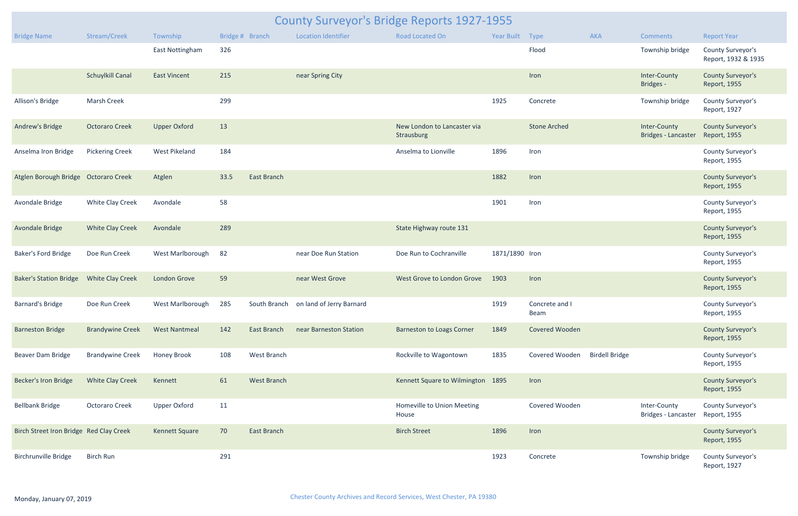|                                         | <b>County Surveyor's Bridge Reports 1927-1955</b> |                      |                 |                    |                            |                                           |                 |                       |                       |                                            |                                          |  |  |
|-----------------------------------------|---------------------------------------------------|----------------------|-----------------|--------------------|----------------------------|-------------------------------------------|-----------------|-----------------------|-----------------------|--------------------------------------------|------------------------------------------|--|--|
| <b>Bridge Name</b>                      | Stream/Creek                                      | Township             | Bridge # Branch |                    | <b>Location Identifier</b> | <b>Road Located On</b>                    | Year Built Type |                       | <b>AKA</b>            | <b>Comments</b>                            | <b>Report Year</b>                       |  |  |
|                                         |                                                   | East Nottingham      | 326             |                    |                            |                                           |                 | Flood                 |                       | Township bridge                            | County Surveyor's<br>Report, 1932 & 1935 |  |  |
|                                         | <b>Schuylkill Canal</b>                           | <b>East Vincent</b>  | 215             |                    | near Spring City           |                                           |                 | Iron                  |                       | Inter-County<br><b>Bridges -</b>           | <b>County Surveyor's</b><br>Report, 1955 |  |  |
| Allison's Bridge                        | <b>Marsh Creek</b>                                |                      | 299             |                    |                            |                                           | 1925            | Concrete              |                       | Township bridge                            | County Surveyor's<br>Report, 1927        |  |  |
| Andrew's Bridge                         | <b>Octoraro Creek</b>                             | <b>Upper Oxford</b>  | 13              |                    |                            | New London to Lancaster via<br>Strausburg |                 | <b>Stone Arched</b>   |                       | Inter-County<br>Bridges - Lancaster        | <b>County Surveyor's</b><br>Report, 1955 |  |  |
| Anselma Iron Bridge                     | <b>Pickering Creek</b>                            | <b>West Pikeland</b> | 184             |                    |                            | Anselma to Lionville                      | 1896            | Iron                  |                       |                                            | County Surveyor's<br>Report, 1955        |  |  |
| Atglen Borough Bridge Octoraro Creek    |                                                   | Atglen               | 33.5            | East Branch        |                            |                                           | 1882            | Iron                  |                       |                                            | <b>County Surveyor's</b><br>Report, 1955 |  |  |
| Avondale Bridge                         | White Clay Creek                                  | Avondale             | 58              |                    |                            |                                           | 1901            | Iron                  |                       |                                            | County Surveyor's<br>Report, 1955        |  |  |
| Avondale Bridge                         | <b>White Clay Creek</b>                           | Avondale             | 289             |                    |                            | State Highway route 131                   |                 |                       |                       |                                            | <b>County Surveyor's</b><br>Report, 1955 |  |  |
| <b>Baker's Ford Bridge</b>              | Doe Run Creek                                     | West Marlborough     | 82              |                    | near Doe Run Station       | Doe Run to Cochranville                   | 1871/1890 Iron  |                       |                       |                                            | County Surveyor's<br>Report, 1955        |  |  |
| <b>Baker's Station Bridge</b>           | <b>White Clay Creek</b>                           | <b>London Grove</b>  | 59              |                    | near West Grove            | West Grove to London Grove                | 1903            | Iron                  |                       |                                            | <b>County Surveyor's</b><br>Report, 1955 |  |  |
| <b>Barnard's Bridge</b>                 | Doe Run Creek                                     | West Marlborough     | 285             | South Branch       | on land of Jerry Barnard   |                                           | 1919            | Concrete and<br>Beam  |                       |                                            | County Surveyor's<br>Report, 1955        |  |  |
| <b>Barneston Bridge</b>                 | <b>Brandywine Creek</b>                           | <b>West Nantmeal</b> | 142             | East Branch        | near Barneston Station     | <b>Barneston to Loags Corner</b>          | 1849            | <b>Covered Wooden</b> |                       |                                            | <b>County Surveyor's</b><br>Report, 1955 |  |  |
| Beaver Dam Bridge                       | <b>Brandywine Creek</b>                           | <b>Honey Brook</b>   | 108             | West Branch        |                            | Rockville to Wagontown                    | 1835            | Covered Wooden        | <b>Birdell Bridge</b> |                                            | County Surveyor's<br>Report, 1955        |  |  |
| <b>Becker's Iron Bridge</b>             | <b>White Clay Creek</b>                           | Kennett              | 61              | <b>West Branch</b> |                            | Kennett Square to Wilmington 1895         |                 | Iron                  |                       |                                            | <b>County Surveyor's</b><br>Report, 1955 |  |  |
| <b>Bellbank Bridge</b>                  | Octoraro Creek                                    | <b>Upper Oxford</b>  | 11              |                    |                            | Homeville to Union Meeting<br>House       |                 | Covered Wooden        |                       | Inter-County<br><b>Bridges - Lancaster</b> | County Surveyor's<br>Report, 1955        |  |  |
| Birch Street Iron Bridge Red Clay Creek |                                                   | Kennett Square       | 70              | East Branch        |                            | <b>Birch Street</b>                       | 1896            | Iron                  |                       |                                            | <b>County Surveyor's</b><br>Report, 1955 |  |  |
| <b>Birchrunville Bridge</b>             | <b>Birch Run</b>                                  |                      | 291             |                    |                            |                                           | 1923            | Concrete              |                       | Township bridge                            | County Surveyor's<br>Report, 1927        |  |  |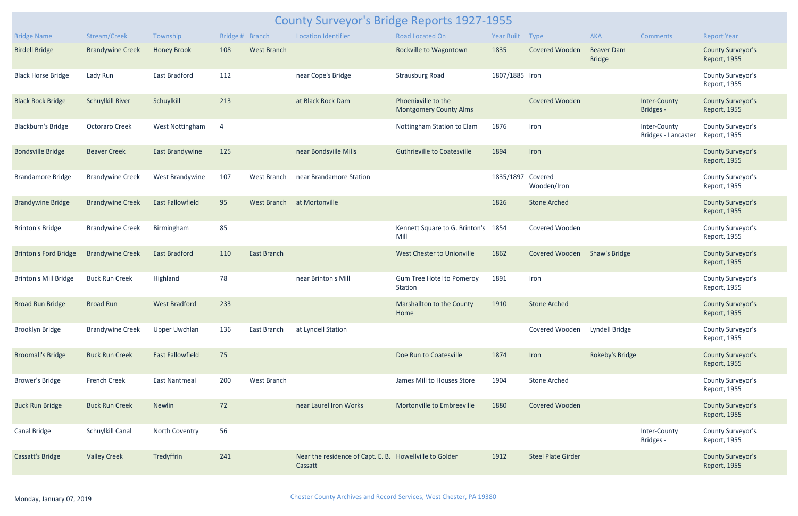|                              | <b>County Surveyor's Bridge Reports 1927-1955</b> |                         |                 |                    |                                                                    |                                                      |                   |                           |                                    |                                     |                                          |  |  |
|------------------------------|---------------------------------------------------|-------------------------|-----------------|--------------------|--------------------------------------------------------------------|------------------------------------------------------|-------------------|---------------------------|------------------------------------|-------------------------------------|------------------------------------------|--|--|
| <b>Bridge Name</b>           | Stream/Creek                                      | Township                | Bridge # Branch |                    | <b>Location Identifier</b>                                         | <b>Road Located On</b>                               | Year Built Type   |                           | <b>AKA</b>                         | <b>Comments</b>                     | <b>Report Year</b>                       |  |  |
| <b>Birdell Bridge</b>        | <b>Brandywine Creek</b>                           | <b>Honey Brook</b>      | 108             | <b>West Branch</b> |                                                                    | Rockville to Wagontown                               | 1835              | <b>Covered Wooden</b>     | <b>Beaver Dam</b><br><b>Bridge</b> |                                     | <b>County Surveyor's</b><br>Report, 1955 |  |  |
| <b>Black Horse Bridge</b>    | Lady Run                                          | East Bradford           | 112             |                    | near Cope's Bridge                                                 | <b>Strausburg Road</b>                               | 1807/1885 Iron    |                           |                                    |                                     | County Surveyor's<br>Report, 1955        |  |  |
| <b>Black Rock Bridge</b>     | <b>Schuylkill River</b>                           | Schuylkill              | 213             |                    | at Black Rock Dam                                                  | Phoenixville to the<br><b>Montgomery County Alms</b> |                   | <b>Covered Wooden</b>     |                                    | Inter-County<br>Bridges -           | <b>County Surveyor's</b><br>Report, 1955 |  |  |
| Blackburn's Bridge           | <b>Octoraro Creek</b>                             | West Nottingham         | 4               |                    |                                                                    | Nottingham Station to Elam                           | 1876              | Iron                      |                                    | Inter-County<br>Bridges - Lancaster | County Surveyor's<br>Report, 1955        |  |  |
| <b>Bondsville Bridge</b>     | <b>Beaver Creek</b>                               | <b>East Brandywine</b>  | 125             |                    | near Bondsville Mills                                              | <b>Guthrieville to Coatesville</b>                   | 1894              | Iron                      |                                    |                                     | <b>County Surveyor's</b><br>Report, 1955 |  |  |
| <b>Brandamore Bridge</b>     | <b>Brandywine Creek</b>                           | West Brandywine         | 107             | West Branch        | near Brandamore Station                                            |                                                      | 1835/1897 Covered | Wooden/Iron               |                                    |                                     | County Surveyor's<br>Report, 1955        |  |  |
| <b>Brandywine Bridge</b>     | <b>Brandywine Creek</b>                           | <b>East Fallowfield</b> | 95              | <b>West Branch</b> | at Mortonville                                                     |                                                      | 1826              | <b>Stone Arched</b>       |                                    |                                     | <b>County Surveyor's</b><br>Report, 1955 |  |  |
| <b>Brinton's Bridge</b>      | <b>Brandywine Creek</b>                           | Birmingham              | 85              |                    |                                                                    | Kennett Square to G. Brinton's 1854<br>Mill          |                   | Covered Wooden            |                                    |                                     | County Surveyor's<br>Report, 1955        |  |  |
| <b>Brinton's Ford Bridge</b> | <b>Brandywine Creek</b>                           | <b>East Bradford</b>    | 110             | East Branch        |                                                                    | West Chester to Unionville                           | 1862              | Covered Wooden            | Shaw's Bridge                      |                                     | <b>County Surveyor's</b><br>Report, 1955 |  |  |
| <b>Brinton's Mill Bridge</b> | <b>Buck Run Creek</b>                             | Highland                | 78              |                    | near Brinton's Mill                                                | <b>Gum Tree Hotel to Pomeroy</b><br>Station          | 1891              | Iron                      |                                    |                                     | County Surveyor's<br>Report, 1955        |  |  |
| <b>Broad Run Bridge</b>      | <b>Broad Run</b>                                  | <b>West Bradford</b>    | 233             |                    |                                                                    | Marshallton to the County<br>Home                    | 1910              | <b>Stone Arched</b>       |                                    |                                     | <b>County Surveyor's</b><br>Report, 1955 |  |  |
| <b>Brooklyn Bridge</b>       | <b>Brandywine Creek</b>                           | <b>Upper Uwchlan</b>    | 136             | East Branch        | at Lyndell Station                                                 |                                                      |                   | Covered Wooden            | Lyndell Bridge                     |                                     | County Surveyor's<br>Report, 1955        |  |  |
| <b>Broomall's Bridge</b>     | <b>Buck Run Creek</b>                             | <b>East Fallowfield</b> | 75              |                    |                                                                    | Doe Run to Coatesville                               | 1874              | Iron                      | Rokeby's Bridge                    |                                     | <b>County Surveyor's</b><br>Report, 1955 |  |  |
| <b>Brower's Bridge</b>       | <b>French Creek</b>                               | <b>East Nantmeal</b>    | 200             | West Branch        |                                                                    | James Mill to Houses Store                           | 1904              | <b>Stone Arched</b>       |                                    |                                     | County Surveyor's<br>Report, 1955        |  |  |
| <b>Buck Run Bridge</b>       | <b>Buck Run Creek</b>                             | <b>Newlin</b>           | 72              |                    | near Laurel Iron Works                                             | Mortonville to Embreeville                           | 1880              | <b>Covered Wooden</b>     |                                    |                                     | <b>County Surveyor's</b><br>Report, 1955 |  |  |
| Canal Bridge                 | Schuylkill Canal                                  | North Coventry          | 56              |                    |                                                                    |                                                      |                   |                           |                                    | Inter-County<br>Bridges -           | County Surveyor's<br>Report, 1955        |  |  |
| Cassatt's Bridge             | <b>Valley Creek</b>                               | Tredyffrin              | 241             |                    | Near the residence of Capt. E. B. Howellville to Golder<br>Cassatt |                                                      | 1912              | <b>Steel Plate Girder</b> |                                    |                                     | <b>County Surveyor's</b><br>Report, 1955 |  |  |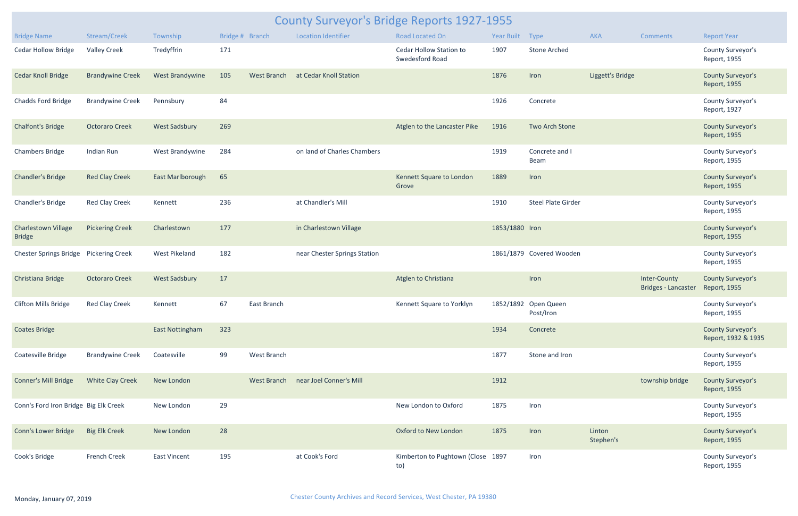|                                             | <b>County Surveyor's Bridge Reports 1927-1955</b> |                        |                 |                    |                              |                                            |                 |                                   |                     |                                            |                                                 |  |  |
|---------------------------------------------|---------------------------------------------------|------------------------|-----------------|--------------------|------------------------------|--------------------------------------------|-----------------|-----------------------------------|---------------------|--------------------------------------------|-------------------------------------------------|--|--|
| <b>Bridge Name</b>                          | Stream/Creek                                      | Township               | Bridge # Branch |                    | <b>Location Identifier</b>   | Road Located On                            | Year Built Type |                                   | AKA                 | <b>Comments</b>                            | <b>Report Year</b>                              |  |  |
| <b>Cedar Hollow Bridge</b>                  | <b>Valley Creek</b>                               | Tredyffrin             | 171             |                    |                              | Cedar Hollow Station to<br>Swedesford Road | 1907            | <b>Stone Arched</b>               |                     |                                            | County Surveyor's<br>Report, 1955               |  |  |
| <b>Cedar Knoll Bridge</b>                   | <b>Brandywine Creek</b>                           | West Brandywine        | 105             | <b>West Branch</b> | at Cedar Knoll Station       |                                            | 1876            | Iron                              | Liggett's Bridge    |                                            | <b>County Surveyor's</b><br>Report, 1955        |  |  |
| Chadds Ford Bridge                          | <b>Brandywine Creek</b>                           | Pennsbury              | 84              |                    |                              |                                            | 1926            | Concrete                          |                     |                                            | County Surveyor's<br>Report, 1927               |  |  |
| <b>Chalfont's Bridge</b>                    | <b>Octoraro Creek</b>                             | <b>West Sadsbury</b>   | 269             |                    |                              | Atglen to the Lancaster Pike               | 1916            | Two Arch Stone                    |                     |                                            | <b>County Surveyor's</b><br>Report, 1955        |  |  |
| <b>Chambers Bridge</b>                      | Indian Run                                        | West Brandywine        | 284             |                    | on land of Charles Chambers  |                                            | 1919            | Concrete and I<br>Beam            |                     |                                            | County Surveyor's<br>Report, 1955               |  |  |
| <b>Chandler's Bridge</b>                    | <b>Red Clay Creek</b>                             | East Marlborough       | 65              |                    |                              | Kennett Square to London<br>Grove          | 1889            | Iron                              |                     |                                            | <b>County Surveyor's</b><br>Report, 1955        |  |  |
| Chandler's Bridge                           | Red Clay Creek                                    | Kennett                | 236             |                    | at Chandler's Mill           |                                            | 1910            | <b>Steel Plate Girder</b>         |                     |                                            | County Surveyor's<br>Report, 1955               |  |  |
| <b>Charlestown Village</b><br><b>Bridge</b> | <b>Pickering Creek</b>                            | Charlestown            | 177             |                    | in Charlestown Village       |                                            | 1853/1880 Iron  |                                   |                     |                                            | <b>County Surveyor's</b><br>Report, 1955        |  |  |
| <b>Chester Springs Bridge</b>               | <b>Pickering Creek</b>                            | West Pikeland          | 182             |                    | near Chester Springs Station |                                            |                 | 1861/1879 Covered Wooden          |                     |                                            | County Surveyor's<br>Report, 1955               |  |  |
| Christiana Bridge                           | <b>Octoraro Creek</b>                             | <b>West Sadsbury</b>   | 17              |                    |                              | Atglen to Christiana                       |                 | Iron                              |                     | Inter-County<br><b>Bridges - Lancaster</b> | <b>County Surveyor's</b><br>Report, 1955        |  |  |
| <b>Clifton Mills Bridge</b>                 | <b>Red Clay Creek</b>                             | Kennett                | 67              | East Branch        |                              | Kennett Square to Yorklyn                  |                 | 1852/1892 Open Queen<br>Post/Iron |                     |                                            | County Surveyor's<br>Report, 1955               |  |  |
| <b>Coates Bridge</b>                        |                                                   | <b>East Nottingham</b> | 323             |                    |                              |                                            | 1934            | Concrete                          |                     |                                            | <b>County Surveyor's</b><br>Report, 1932 & 1935 |  |  |
| Coatesville Bridge                          | <b>Brandywine Creek</b>                           | Coatesville            | 99              | West Branch        |                              |                                            | 1877            | Stone and Iron                    |                     |                                            | County Surveyor's<br>Report, 1955               |  |  |
| <b>Conner's Mill Bridge</b>                 | <b>White Clay Creek</b>                           | New London             |                 | <b>West Branch</b> | near Joel Conner's Mill      |                                            | 1912            |                                   |                     | township bridge                            | <b>County Surveyor's</b><br>Report, 1955        |  |  |
| Conn's Ford Iron Bridge Big Elk Creek       |                                                   | New London             | 29              |                    |                              | New London to Oxford                       | 1875            | Iron                              |                     |                                            | County Surveyor's<br>Report, 1955               |  |  |
| <b>Conn's Lower Bridge</b>                  | <b>Big Elk Creek</b>                              | New London             | 28              |                    |                              | Oxford to New London                       | 1875            | Iron                              | Linton<br>Stephen's |                                            | <b>County Surveyor's</b><br>Report, 1955        |  |  |
| Cook's Bridge                               | <b>French Creek</b>                               | <b>East Vincent</b>    | 195             |                    | at Cook's Ford               | Kimberton to Pughtown (Close 1897<br>to)   |                 | Iron                              |                     |                                            | County Surveyor's<br>Report, 1955               |  |  |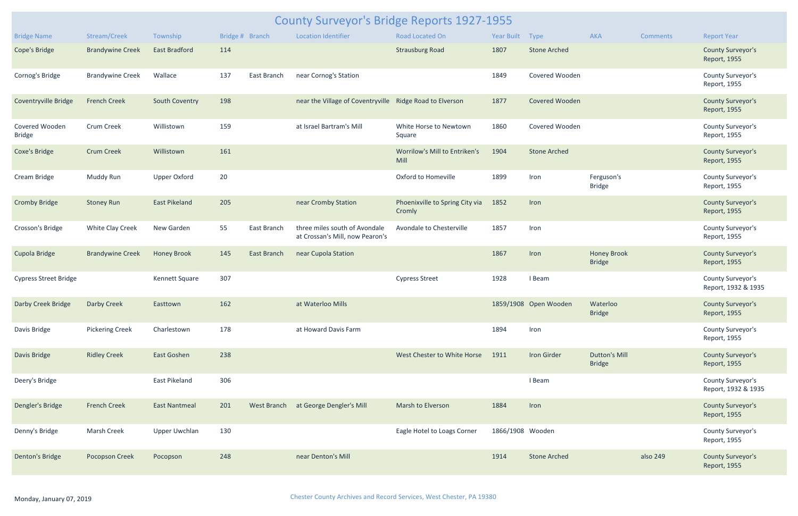|                                 | <b>County Surveyor's Bridge Reports 1927-1955</b> |                      |     |                 |                                                                  |                                           |                  |                       |                                       |                 |                                          |  |  |
|---------------------------------|---------------------------------------------------|----------------------|-----|-----------------|------------------------------------------------------------------|-------------------------------------------|------------------|-----------------------|---------------------------------------|-----------------|------------------------------------------|--|--|
| <b>Bridge Name</b>              | Stream/Creek                                      | Township             |     | Bridge # Branch | <b>Location Identifier</b>                                       | <b>Road Located On</b>                    | Year Built       | Type                  | AKA                                   | <b>Comments</b> | <b>Report Year</b>                       |  |  |
| <b>Cope's Bridge</b>            | <b>Brandywine Creek</b>                           | <b>East Bradford</b> | 114 |                 |                                                                  | <b>Strausburg Road</b>                    | 1807             | <b>Stone Arched</b>   |                                       |                 | <b>County Surveyor's</b><br>Report, 1955 |  |  |
| Cornog's Bridge                 | <b>Brandywine Creek</b>                           | Wallace              | 137 | East Branch     | near Cornog's Station                                            |                                           | 1849             | Covered Wooden        |                                       |                 | County Surveyor's<br>Report, 1955        |  |  |
| Coventryville Bridge            | <b>French Creek</b>                               | South Coventry       | 198 |                 | near the Village of Coventryville Ridge Road to Elverson         |                                           | 1877             | Covered Wooden        |                                       |                 | <b>County Surveyor's</b><br>Report, 1955 |  |  |
| Covered Wooden<br><b>Bridge</b> | Crum Creek                                        | Willistown           | 159 |                 | at Israel Bartram's Mill                                         | White Horse to Newtown<br>Square          | 1860             | Covered Wooden        |                                       |                 | County Surveyor's<br>Report, 1955        |  |  |
| <b>Coxe's Bridge</b>            | <b>Crum Creek</b>                                 | Willistown           | 161 |                 |                                                                  | Worrilow's Mill to Entriken's<br>Mill     | 1904             | <b>Stone Arched</b>   |                                       |                 | <b>County Surveyor's</b><br>Report, 1955 |  |  |
| Cream Bridge                    | Muddy Run                                         | <b>Upper Oxford</b>  | 20  |                 |                                                                  | Oxford to Homeville                       | 1899             | Iron                  | Ferguson's<br><b>Bridge</b>           |                 | County Surveyor's<br>Report, 1955        |  |  |
| <b>Cromby Bridge</b>            | <b>Stoney Run</b>                                 | <b>East Pikeland</b> | 205 |                 | near Cromby Station                                              | Phoenixville to Spring City via<br>Cromly | 1852             | Iron                  |                                       |                 | <b>County Surveyor's</b><br>Report, 1955 |  |  |
| Crosson's Bridge                | White Clay Creek                                  | New Garden           | 55  | East Branch     | three miles south of Avondale<br>at Crossan's Mill, now Pearon's | Avondale to Chesterville                  | 1857             | Iron                  |                                       |                 | County Surveyor's<br>Report, 1955        |  |  |
| Cupola Bridge                   | <b>Brandywine Creek</b>                           | <b>Honey Brook</b>   | 145 | East Branch     | near Cupola Station                                              |                                           | 1867             | Iron                  | <b>Honey Brook</b><br><b>Bridge</b>   |                 | <b>County Surveyor's</b><br>Report, 1955 |  |  |
| <b>Cypress Street Bridge</b>    |                                                   | Kennett Square       | 307 |                 |                                                                  | <b>Cypress Street</b>                     | 1928             | I Beam                |                                       |                 | County Surveyor's<br>Report, 1932 & 1935 |  |  |
| Darby Creek Bridge              | Darby Creek                                       | Easttown             | 162 |                 | at Waterloo Mills                                                |                                           |                  | 1859/1908 Open Wooden | Waterloo<br><b>Bridge</b>             |                 | <b>County Surveyor's</b><br>Report, 1955 |  |  |
| Davis Bridge                    | <b>Pickering Creek</b>                            | Charlestown          | 178 |                 | at Howard Davis Farm                                             |                                           | 1894             | Iron                  |                                       |                 | County Surveyor's<br>Report, 1955        |  |  |
| Davis Bridge                    | <b>Ridley Creek</b>                               | East Goshen          | 238 |                 |                                                                  | West Chester to White Horse               | 1911             | Iron Girder           | <b>Dutton's Mill</b><br><b>Bridge</b> |                 | <b>County Surveyor's</b><br>Report, 1955 |  |  |
| Deery's Bridge                  |                                                   | East Pikeland        | 306 |                 |                                                                  |                                           |                  | I Beam                |                                       |                 | County Surveyor's<br>Report, 1932 & 1935 |  |  |
| Dengler's Bridge                | <b>French Creek</b>                               | <b>East Nantmeal</b> | 201 |                 | West Branch at George Dengler's Mill                             | Marsh to Elverson                         | 1884             | Iron                  |                                       |                 | <b>County Surveyor's</b><br>Report, 1955 |  |  |
| Denny's Bridge                  | Marsh Creek                                       | <b>Upper Uwchlan</b> | 130 |                 |                                                                  | Eagle Hotel to Loags Corner               | 1866/1908 Wooden |                       |                                       |                 | County Surveyor's<br>Report, 1955        |  |  |
| Denton's Bridge                 | Pocopson Creek                                    | Pocopson             | 248 |                 | near Denton's Mill                                               |                                           | 1914             | <b>Stone Arched</b>   |                                       | also 249        | <b>County Surveyor's</b><br>Report, 1955 |  |  |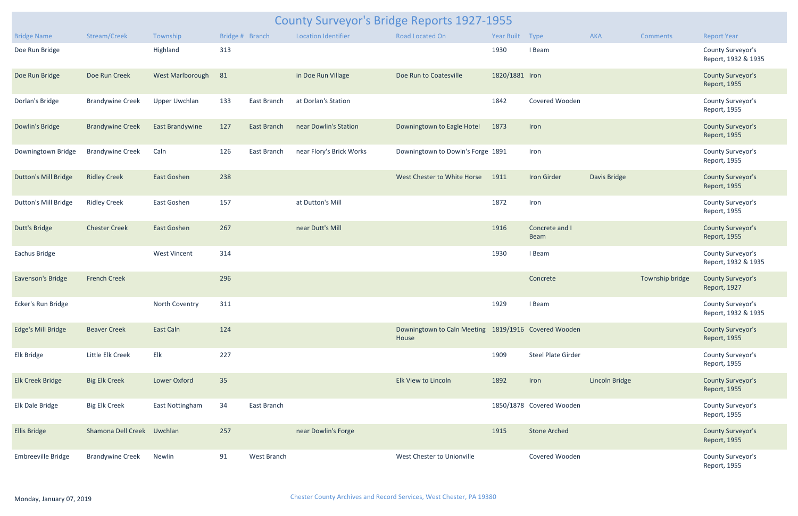| <b>County Surveyor's Bridge Reports 1927-1955</b> |                            |                        |                 |                    |                            |                                                               |                 |                           |                |                 |                                          |  |
|---------------------------------------------------|----------------------------|------------------------|-----------------|--------------------|----------------------------|---------------------------------------------------------------|-----------------|---------------------------|----------------|-----------------|------------------------------------------|--|
| <b>Bridge Name</b>                                | Stream/Creek               | Township               | Bridge # Branch |                    | <b>Location Identifier</b> | <b>Road Located On</b>                                        | Year Built Type |                           | AKA            | <b>Comments</b> | <b>Report Year</b>                       |  |
| Doe Run Bridge                                    |                            | Highland               | 313             |                    |                            |                                                               | 1930            | I Beam                    |                |                 | County Surveyor's<br>Report, 1932 & 1935 |  |
| Doe Run Bridge                                    | Doe Run Creek              | West Marlborough       | 81              |                    | in Doe Run Village         | Doe Run to Coatesville                                        | 1820/1881 Iron  |                           |                |                 | <b>County Surveyor's</b><br>Report, 1955 |  |
| Dorlan's Bridge                                   | <b>Brandywine Creek</b>    | <b>Upper Uwchlan</b>   | 133             | East Branch        | at Dorlan's Station        |                                                               | 1842            | Covered Wooden            |                |                 | County Surveyor's<br>Report, 1955        |  |
| Dowlin's Bridge                                   | <b>Brandywine Creek</b>    | <b>East Brandywine</b> | 127             | <b>East Branch</b> | near Dowlin's Station      | Downingtown to Eagle Hotel                                    | 1873            | Iron                      |                |                 | <b>County Surveyor's</b><br>Report, 1955 |  |
| Downingtown Bridge                                | <b>Brandywine Creek</b>    | Caln                   | 126             | East Branch        | near Flory's Brick Works   | Downingtown to Dowln's Forge 1891                             |                 | Iron                      |                |                 | <b>County Surveyor's</b><br>Report, 1955 |  |
| <b>Dutton's Mill Bridge</b>                       | <b>Ridley Creek</b>        | East Goshen            | 238             |                    |                            | West Chester to White Horse                                   | 1911            | <b>Iron Girder</b>        | Davis Bridge   |                 | <b>County Surveyor's</b><br>Report, 1955 |  |
| <b>Dutton's Mill Bridge</b>                       | <b>Ridley Creek</b>        | East Goshen            | 157             |                    | at Dutton's Mill           |                                                               | 1872            | Iron                      |                |                 | County Surveyor's<br>Report, 1955        |  |
| <b>Dutt's Bridge</b>                              | <b>Chester Creek</b>       | East Goshen            | 267             |                    | near Dutt's Mill           |                                                               | 1916            | Concrete and I<br>Beam    |                |                 | <b>County Surveyor's</b><br>Report, 1955 |  |
| Eachus Bridge                                     |                            | <b>West Vincent</b>    | 314             |                    |                            |                                                               | 1930            | I Beam                    |                |                 | County Surveyor's<br>Report, 1932 & 1935 |  |
| Eavenson's Bridge                                 | <b>French Creek</b>        |                        | 296             |                    |                            |                                                               |                 | Concrete                  |                | Township bridge | <b>County Surveyor's</b><br>Report, 1927 |  |
| Ecker's Run Bridge                                |                            | North Coventry         | 311             |                    |                            |                                                               | 1929            | I Beam                    |                |                 | County Surveyor's<br>Report, 1932 & 1935 |  |
| Edge's Mill Bridge                                | <b>Beaver Creek</b>        | East Caln              | 124             |                    |                            | Downingtown to Caln Meeting 1819/1916 Covered Wooden<br>House |                 |                           |                |                 | <b>County Surveyor's</b><br>Report, 1955 |  |
| Elk Bridge                                        | Little Elk Creek           | Elk                    | 227             |                    |                            |                                                               | 1909            | <b>Steel Plate Girder</b> |                |                 | County Surveyor's<br>Report, 1955        |  |
| <b>Elk Creek Bridge</b>                           | <b>Big Elk Creek</b>       | Lower Oxford           | 35              |                    |                            | Elk View to Lincoln                                           | 1892            | Iron                      | Lincoln Bridge |                 | <b>County Surveyor's</b><br>Report, 1955 |  |
| Elk Dale Bridge                                   | <b>Big Elk Creek</b>       | East Nottingham        | 34              | East Branch        |                            |                                                               |                 | 1850/1878 Covered Wooden  |                |                 | County Surveyor's<br>Report, 1955        |  |
| <b>Ellis Bridge</b>                               | Shamona Dell Creek Uwchlan |                        | 257             |                    | near Dowlin's Forge        |                                                               | 1915            | <b>Stone Arched</b>       |                |                 | <b>County Surveyor's</b><br>Report, 1955 |  |
| Embreeville Bridge                                | <b>Brandywine Creek</b>    | Newlin                 | 91              | West Branch        |                            | West Chester to Unionville                                    |                 | Covered Wooden            |                |                 | <b>County Surveyor's</b><br>Report, 1955 |  |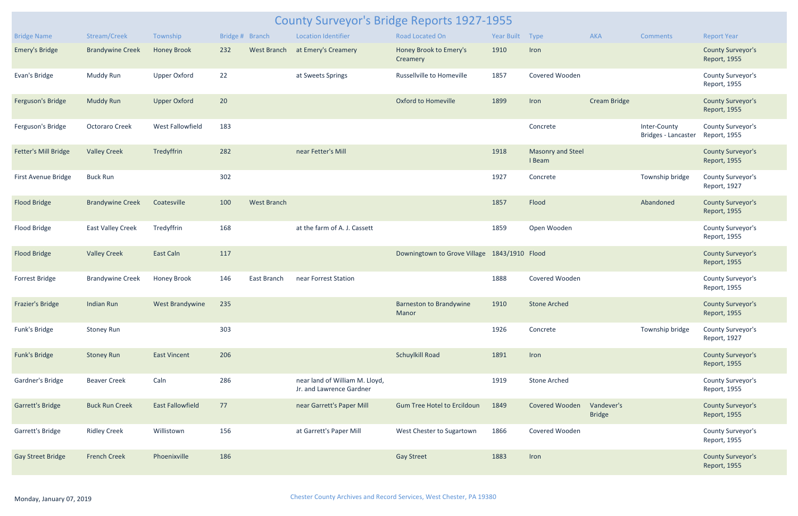|                          | <b>County Surveyor's Bridge Reports 1927-1955</b> |                         |                 |                    |                                                            |                                              |                 |                                    |                             |                                     |                                          |  |  |
|--------------------------|---------------------------------------------------|-------------------------|-----------------|--------------------|------------------------------------------------------------|----------------------------------------------|-----------------|------------------------------------|-----------------------------|-------------------------------------|------------------------------------------|--|--|
| <b>Bridge Name</b>       | Stream/Creek                                      | Township                | Bridge # Branch |                    | <b>Location Identifier</b>                                 | <b>Road Located On</b>                       | Year Built Type |                                    | <b>AKA</b>                  | <b>Comments</b>                     | <b>Report Year</b>                       |  |  |
| <b>Emery's Bridge</b>    | <b>Brandywine Creek</b>                           | <b>Honey Brook</b>      | 232             | West Branch        | at Emery's Creamery                                        | Honey Brook to Emery's<br>Creamery           | 1910            | Iron                               |                             |                                     | <b>County Surveyor's</b><br>Report, 1955 |  |  |
| Evan's Bridge            | Muddy Run                                         | <b>Upper Oxford</b>     | 22              |                    | at Sweets Springs                                          | Russellville to Homeville                    | 1857            | Covered Wooden                     |                             |                                     | County Surveyor's<br>Report, 1955        |  |  |
| Ferguson's Bridge        | <b>Muddy Run</b>                                  | <b>Upper Oxford</b>     | 20              |                    |                                                            | <b>Oxford to Homeville</b>                   | 1899            | Iron                               | <b>Cream Bridge</b>         |                                     | <b>County Surveyor's</b><br>Report, 1955 |  |  |
| Ferguson's Bridge        | <b>Octoraro Creek</b>                             | West Fallowfield        | 183             |                    |                                                            |                                              |                 | Concrete                           |                             | Inter-County<br>Bridges - Lancaster | <b>County Surveyor's</b><br>Report, 1955 |  |  |
| Fetter's Mill Bridge     | <b>Valley Creek</b>                               | Tredyffrin              | 282             |                    | near Fetter's Mill                                         |                                              | 1918            | <b>Masonry and Steel</b><br>I Beam |                             |                                     | <b>County Surveyor's</b><br>Report, 1955 |  |  |
| First Avenue Bridge      | <b>Buck Run</b>                                   |                         | 302             |                    |                                                            |                                              | 1927            | Concrete                           |                             | Township bridge                     | County Surveyor's<br>Report, 1927        |  |  |
| <b>Flood Bridge</b>      | <b>Brandywine Creek</b>                           | Coatesville             | 100             | <b>West Branch</b> |                                                            |                                              | 1857            | Flood                              |                             | Abandoned                           | <b>County Surveyor's</b><br>Report, 1955 |  |  |
| Flood Bridge             | <b>East Valley Creek</b>                          | Tredyffrin              | 168             |                    | at the farm of A. J. Cassett                               |                                              | 1859            | Open Wooden                        |                             |                                     | County Surveyor's<br>Report, 1955        |  |  |
| <b>Flood Bridge</b>      | <b>Valley Creek</b>                               | East Caln               | 117             |                    |                                                            | Downingtown to Grove Village 1843/1910 Flood |                 |                                    |                             |                                     | <b>County Surveyor's</b><br>Report, 1955 |  |  |
| Forrest Bridge           | <b>Brandywine Creek</b>                           | Honey Brook             | 146             | East Branch        | near Forrest Station                                       |                                              | 1888            | Covered Wooden                     |                             |                                     | County Surveyor's<br>Report, 1955        |  |  |
| Frazier's Bridge         | Indian Run                                        | West Brandywine         | 235             |                    |                                                            | <b>Barneston to Brandywine</b><br>Manor      | 1910            | <b>Stone Arched</b>                |                             |                                     | <b>County Surveyor's</b><br>Report, 1955 |  |  |
| Funk's Bridge            | <b>Stoney Run</b>                                 |                         | 303             |                    |                                                            |                                              | 1926            | Concrete                           |                             | Township bridge                     | County Surveyor's<br>Report, 1927        |  |  |
| <b>Funk's Bridge</b>     | <b>Stoney Run</b>                                 | <b>East Vincent</b>     | 206             |                    |                                                            | Schuylkill Road                              | 1891            | Iron                               |                             |                                     | <b>County Surveyor's</b><br>Report, 1955 |  |  |
| Gardner's Bridge         | <b>Beaver Creek</b>                               | Caln                    | 286             |                    | near land of William M. Lloyd,<br>Jr. and Lawrence Gardner |                                              | 1919            | <b>Stone Arched</b>                |                             |                                     | County Surveyor's<br>Report, 1955        |  |  |
| <b>Garrett's Bridge</b>  | <b>Buck Run Creek</b>                             | <b>East Fallowfield</b> | 77              |                    | near Garrett's Paper Mill                                  | <b>Gum Tree Hotel to Ercildoun</b>           | 1849            | Covered Wooden                     | Vandever's<br><b>Bridge</b> |                                     | <b>County Surveyor's</b><br>Report, 1955 |  |  |
| Garrett's Bridge         | <b>Ridley Creek</b>                               | Willistown              | 156             |                    | at Garrett's Paper Mill                                    | West Chester to Sugartown                    | 1866            | Covered Wooden                     |                             |                                     | County Surveyor's<br>Report, 1955        |  |  |
| <b>Gay Street Bridge</b> | <b>French Creek</b>                               | Phoenixville            | 186             |                    |                                                            | <b>Gay Street</b>                            | 1883            | Iron                               |                             |                                     | <b>County Surveyor's</b><br>Report, 1955 |  |  |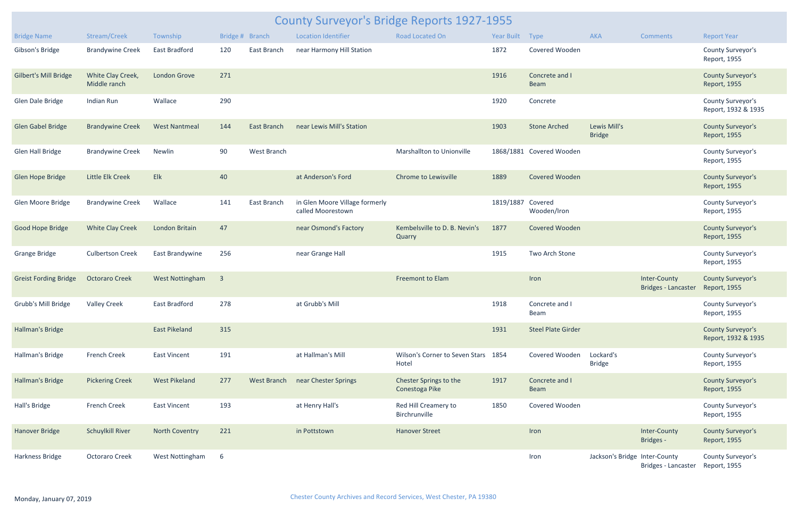| <b>County Surveyor's Bridge Reports 1927-1955</b> |                                   |                        |                         |                    |                                                     |                                              |                   |                           |                               |                                            |                                                 |  |
|---------------------------------------------------|-----------------------------------|------------------------|-------------------------|--------------------|-----------------------------------------------------|----------------------------------------------|-------------------|---------------------------|-------------------------------|--------------------------------------------|-------------------------------------------------|--|
| <b>Bridge Name</b>                                | Stream/Creek                      | Township               | Bridge # Branch         |                    | <b>Location Identifier</b>                          | Road Located On                              | Year Built Type   |                           | AKA                           | Comments                                   | <b>Report Year</b>                              |  |
| Gibson's Bridge                                   | <b>Brandywine Creek</b>           | East Bradford          | 120                     | East Branch        | near Harmony Hill Station                           |                                              | 1872              | Covered Wooden            |                               |                                            | County Surveyor's<br>Report, 1955               |  |
| <b>Gilbert's Mill Bridge</b>                      | White Clay Creek,<br>Middle ranch | <b>London Grove</b>    | 271                     |                    |                                                     |                                              | 1916              | Concrete and I<br>Beam    |                               |                                            | <b>County Surveyor's</b><br>Report, 1955        |  |
| Glen Dale Bridge                                  | Indian Run                        | Wallace                | 290                     |                    |                                                     |                                              | 1920              | Concrete                  |                               |                                            | County Surveyor's<br>Report, 1932 & 1935        |  |
| <b>Glen Gabel Bridge</b>                          | <b>Brandywine Creek</b>           | <b>West Nantmeal</b>   | 144                     | <b>East Branch</b> | near Lewis Mill's Station                           |                                              | 1903              | <b>Stone Arched</b>       | Lewis Mill's<br><b>Bridge</b> |                                            | <b>County Surveyor's</b><br>Report, 1955        |  |
| Glen Hall Bridge                                  | <b>Brandywine Creek</b>           | Newlin                 | 90                      | West Branch        |                                                     | Marshallton to Unionville                    |                   | 1868/1881 Covered Wooden  |                               |                                            | County Surveyor's<br>Report, 1955               |  |
| Glen Hope Bridge                                  | Little Elk Creek                  | Elk                    | 40                      |                    | at Anderson's Ford                                  | Chrome to Lewisville                         | 1889              | Covered Wooden            |                               |                                            | <b>County Surveyor's</b><br>Report, 1955        |  |
| Glen Moore Bridge                                 | <b>Brandywine Creek</b>           | Wallace                | 141                     | East Branch        | in Glen Moore Village formerly<br>called Moorestown |                                              | 1819/1887 Covered | Wooden/Iron               |                               |                                            | County Surveyor's<br>Report, 1955               |  |
| Good Hope Bridge                                  | <b>White Clay Creek</b>           | London Britain         | 47                      |                    | near Osmond's Factory                               | Kembelsville to D. B. Nevin's<br>Quarry      | 1877              | Covered Wooden            |                               |                                            | <b>County Surveyor's</b><br>Report, 1955        |  |
| <b>Grange Bridge</b>                              | <b>Culbertson Creek</b>           | East Brandywine        | 256                     |                    | near Grange Hall                                    |                                              | 1915              | Two Arch Stone            |                               |                                            | County Surveyor's<br>Report, 1955               |  |
| <b>Greist Fording Bridge</b>                      | <b>Octoraro Creek</b>             | <b>West Nottingham</b> | $\overline{\mathbf{3}}$ |                    |                                                     | Freemont to Elam                             |                   | Iron                      |                               | Inter-County<br><b>Bridges - Lancaster</b> | <b>County Surveyor's</b><br>Report, 1955        |  |
| Grubb's Mill Bridge                               | <b>Valley Creek</b>               | East Bradford          | 278                     |                    | at Grubb's Mill                                     |                                              | 1918              | Concrete and I<br>Beam    |                               |                                            | County Surveyor's<br>Report, 1955               |  |
| Hallman's Bridge                                  |                                   | <b>East Pikeland</b>   | 315                     |                    |                                                     |                                              | 1931              | <b>Steel Plate Girder</b> |                               |                                            | <b>County Surveyor's</b><br>Report, 1932 & 1935 |  |
| Hallman's Bridge                                  | French Creek                      | <b>East Vincent</b>    | 191                     |                    | at Hallman's Mill                                   | Wilson's Corner to Seven Stars 1854<br>Hotel |                   | Covered Wooden            | Lockard's<br><b>Bridge</b>    |                                            | County Surveyor's<br>Report, 1955               |  |
| <b>Hallman's Bridge</b>                           | <b>Pickering Creek</b>            | <b>West Pikeland</b>   | 277                     | <b>West Branch</b> | near Chester Springs                                | Chester Springs to the<br>Conestoga Pike     | 1917              | Concrete and I<br>Beam    |                               |                                            | <b>County Surveyor's</b><br>Report, 1955        |  |
| Hall's Bridge                                     | French Creek                      | East Vincent           | 193                     |                    | at Henry Hall's                                     | Red Hill Creamery to<br>Birchrunville        | 1850              | Covered Wooden            |                               |                                            | County Surveyor's<br>Report, 1955               |  |
| <b>Hanover Bridge</b>                             | <b>Schuylkill River</b>           | <b>North Coventry</b>  | 221                     |                    | in Pottstown                                        | <b>Hanover Street</b>                        |                   | Iron                      |                               | Inter-County<br>Bridges -                  | <b>County Surveyor's</b><br>Report, 1955        |  |
| Harkness Bridge                                   | <b>Octoraro Creek</b>             | West Nottingham        | 6                       |                    |                                                     |                                              |                   | Iron                      | Jackson's Bridge Inter-County | Bridges - Lancaster                        | County Surveyor's<br>Report, 1955               |  |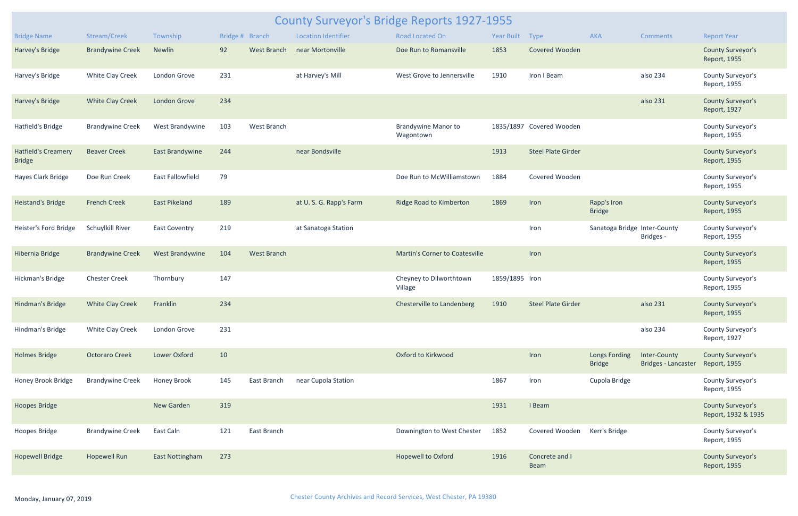|                                             | <b>County Surveyor's Bridge Reports 1927-1955</b> |                         |                 |                    |                            |                                         |                 |                               |                                |                                            |                                                 |  |
|---------------------------------------------|---------------------------------------------------|-------------------------|-----------------|--------------------|----------------------------|-----------------------------------------|-----------------|-------------------------------|--------------------------------|--------------------------------------------|-------------------------------------------------|--|
| <b>Bridge Name</b>                          | Stream/Creek                                      | Township                | Bridge # Branch |                    | <b>Location Identifier</b> | <b>Road Located On</b>                  | Year Built Type |                               | AKA                            | <b>Comments</b>                            | <b>Report Year</b>                              |  |
| Harvey's Bridge                             | <b>Brandywine Creek</b>                           | Newlin                  | 92              | <b>West Branch</b> | near Mortonville           | Doe Run to Romansville                  | 1853            | <b>Covered Wooden</b>         |                                |                                            | <b>County Surveyor's</b><br>Report, 1955        |  |
| Harvey's Bridge                             | <b>White Clay Creek</b>                           | London Grove            | 231             |                    | at Harvey's Mill           | West Grove to Jennersville              | 1910            | Iron I Beam                   |                                | also 234                                   | County Surveyor's<br>Report, 1955               |  |
| Harvey's Bridge                             | <b>White Clay Creek</b>                           | London Grove            | 234             |                    |                            |                                         |                 |                               |                                | also 231                                   | <b>County Surveyor's</b><br>Report, 1927        |  |
| Hatfield's Bridge                           | <b>Brandywine Creek</b>                           | West Brandywine         | 103             | West Branch        |                            | <b>Brandywine Manor to</b><br>Wagontown |                 | 1835/1897 Covered Wooden      |                                |                                            | County Surveyor's<br>Report, 1955               |  |
| <b>Hatfield's Creamery</b><br><b>Bridge</b> | <b>Beaver Creek</b>                               | <b>East Brandywine</b>  | 244             |                    | near Bondsville            |                                         | 1913            | <b>Steel Plate Girder</b>     |                                |                                            | <b>County Surveyor's</b><br>Report, 1955        |  |
| Hayes Clark Bridge                          | Doe Run Creek                                     | <b>East Fallowfield</b> | 79              |                    |                            | Doe Run to McWilliamstown               | 1884            | Covered Wooden                |                                |                                            | County Surveyor's<br>Report, 1955               |  |
| Heistand's Bridge                           | <b>French Creek</b>                               | <b>East Pikeland</b>    | 189             |                    | at U.S.G. Rapp's Farm      | Ridge Road to Kimberton                 | 1869            | Iron                          | Rapp's Iron<br><b>Bridge</b>   |                                            | <b>County Surveyor's</b><br>Report, 1955        |  |
| Heister's Ford Bridge                       | Schuylkill River                                  | <b>East Coventry</b>    | 219             |                    | at Sanatoga Station        |                                         |                 | Iron                          | Sanatoga Bridge Inter-County   | Bridges -                                  | County Surveyor's<br>Report, 1955               |  |
| Hibernia Bridge                             | <b>Brandywine Creek</b>                           | West Brandywine         | 104             | <b>West Branch</b> |                            | Martin's Corner to Coatesville          |                 | Iron                          |                                |                                            | <b>County Surveyor's</b><br>Report, 1955        |  |
| Hickman's Bridge                            | <b>Chester Creek</b>                              | Thornbury               | 147             |                    |                            | Cheyney to Dilworthtown<br>Village      | 1859/1895 Iron  |                               |                                |                                            | County Surveyor's<br>Report, 1955               |  |
| Hindman's Bridge                            | White Clay Creek                                  | Franklin                | 234             |                    |                            | Chesterville to Landenberg 1910         |                 | Steel Plate Girder            |                                | also 231                                   | <b>County Surveyor's</b><br>Report, 1955        |  |
| Hindman's Bridge                            | <b>White Clay Creek</b>                           | London Grove            | 231             |                    |                            |                                         |                 |                               |                                | also 234                                   | County Surveyor's<br>Report, 1927               |  |
| <b>Holmes Bridge</b>                        | <b>Octoraro Creek</b>                             | Lower Oxford            | 10              |                    |                            | Oxford to Kirkwood                      |                 | Iron                          | Longs Fording<br><b>Bridge</b> | Inter-County<br><b>Bridges - Lancaster</b> | <b>County Surveyor's</b><br>Report, 1955        |  |
| Honey Brook Bridge                          | <b>Brandywine Creek</b>                           | <b>Honey Brook</b>      | 145             | East Branch        | near Cupola Station        |                                         | 1867            | Iron                          | Cupola Bridge                  |                                            | County Surveyor's<br>Report, 1955               |  |
| <b>Hoopes Bridge</b>                        |                                                   | New Garden              | 319             |                    |                            |                                         | 1931            | I Beam                        |                                |                                            | <b>County Surveyor's</b><br>Report, 1932 & 1935 |  |
| Hoopes Bridge                               | <b>Brandywine Creek</b>                           | East Caln               | 121             | East Branch        |                            | Downington to West Chester              | 1852            | Covered Wooden                | Kerr's Bridge                  |                                            | County Surveyor's<br>Report, 1955               |  |
| <b>Hopewell Bridge</b>                      | <b>Hopewell Run</b>                               | <b>East Nottingham</b>  | 273             |                    |                            | <b>Hopewell to Oxford</b>               | 1916            | Concrete and I<br><b>Beam</b> |                                |                                            | <b>County Surveyor's</b><br>Report, 1955        |  |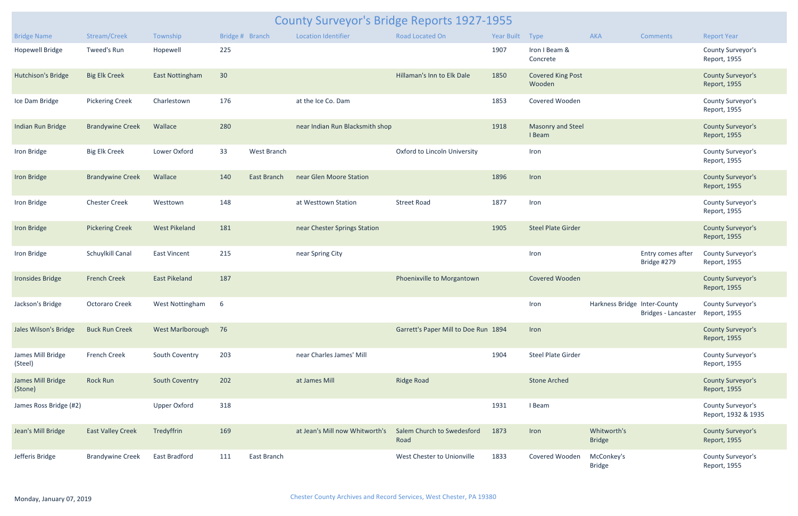| <b>County Surveyor's Bridge Reports 1927-1955</b> |                          |                       |     |                    |                                 |                                      |                 |                                    |                              |                                  |                                          |  |  |
|---------------------------------------------------|--------------------------|-----------------------|-----|--------------------|---------------------------------|--------------------------------------|-----------------|------------------------------------|------------------------------|----------------------------------|------------------------------------------|--|--|
| <b>Bridge Name</b>                                | Stream/Creek             | Township              |     | Bridge # Branch    | <b>Location Identifier</b>      | Road Located On                      | Year Built Type |                                    | AKA                          | <b>Comments</b>                  | <b>Report Year</b>                       |  |  |
| <b>Hopewell Bridge</b>                            | Tweed's Run              | Hopewell              | 225 |                    |                                 |                                      | 1907            | Iron I Beam &<br>Concrete          |                              |                                  | County Surveyor's<br>Report, 1955        |  |  |
| <b>Hutchison's Bridge</b>                         | <b>Big Elk Creek</b>     | East Nottingham       | 30  |                    |                                 | Hillaman's Inn to Elk Dale           | 1850            | <b>Covered King Post</b><br>Wooden |                              |                                  | <b>County Surveyor's</b><br>Report, 1955 |  |  |
| Ice Dam Bridge                                    | <b>Pickering Creek</b>   | Charlestown           | 176 |                    | at the Ice Co. Dam              |                                      | 1853            | Covered Wooden                     |                              |                                  | County Surveyor's<br>Report, 1955        |  |  |
| Indian Run Bridge                                 | <b>Brandywine Creek</b>  | Wallace               | 280 |                    | near Indian Run Blacksmith shop |                                      | 1918            | <b>Masonry and Steel</b><br>I Beam |                              |                                  | <b>County Surveyor's</b><br>Report, 1955 |  |  |
| Iron Bridge                                       | <b>Big Elk Creek</b>     | Lower Oxford          | 33  | West Branch        |                                 | Oxford to Lincoln University         |                 | Iron                               |                              |                                  | County Surveyor's<br>Report, 1955        |  |  |
| Iron Bridge                                       | <b>Brandywine Creek</b>  | Wallace               | 140 | <b>East Branch</b> | near Glen Moore Station         |                                      | 1896            | Iron                               |                              |                                  | <b>County Surveyor's</b><br>Report, 1955 |  |  |
| Iron Bridge                                       | <b>Chester Creek</b>     | Westtown              | 148 |                    | at Westtown Station             | <b>Street Road</b>                   | 1877            | Iron                               |                              |                                  | County Surveyor's<br>Report, 1955        |  |  |
| Iron Bridge                                       | <b>Pickering Creek</b>   | <b>West Pikeland</b>  | 181 |                    | near Chester Springs Station    |                                      | 1905            | <b>Steel Plate Girder</b>          |                              |                                  | <b>County Surveyor's</b><br>Report, 1955 |  |  |
| Iron Bridge                                       | Schuylkill Canal         | East Vincent          | 215 |                    | near Spring City                |                                      |                 | Iron                               |                              | Entry comes after<br>Bridge #279 | County Surveyor's<br>Report, 1955        |  |  |
| <b>Ironsides Bridge</b>                           | <b>French Creek</b>      | <b>East Pikeland</b>  | 187 |                    |                                 | Phoenixville to Morgantown           |                 | Covered Wooden                     |                              |                                  | <b>County Surveyor's</b><br>Report, 1955 |  |  |
| Jackson's Bridge                                  | Octoraro Creek           | West Nottingham 6     |     |                    |                                 |                                      |                 | Iron                               | Harkness Bridge Inter-County | Bridges - Lancaster              | County Surveyor's<br>Report, 1955        |  |  |
| Jales Wilson's Bridge                             | <b>Buck Run Creek</b>    | West Marlborough 76   |     |                    |                                 | Garrett's Paper Mill to Doe Run 1894 |                 | Iron                               |                              |                                  | <b>County Surveyor's</b><br>Report, 1955 |  |  |
| James Mill Bridge<br>(Steel)                      | <b>French Creek</b>      | South Coventry        | 203 |                    | near Charles James' Mill        |                                      | 1904            | <b>Steel Plate Girder</b>          |                              |                                  | County Surveyor's<br>Report, 1955        |  |  |
| James Mill Bridge<br>(Stone)                      | <b>Rock Run</b>          | <b>South Coventry</b> | 202 |                    | at James Mill                   | <b>Ridge Road</b>                    |                 | <b>Stone Arched</b>                |                              |                                  | <b>County Surveyor's</b><br>Report, 1955 |  |  |
| James Ross Bridge (#2)                            |                          | <b>Upper Oxford</b>   | 318 |                    |                                 |                                      | 1931            | I Beam                             |                              |                                  | County Surveyor's<br>Report, 1932 & 1935 |  |  |
| Jean's Mill Bridge                                | <b>East Valley Creek</b> | Tredyffrin            | 169 |                    | at Jean's Mill now Whitworth's  | Salem Church to Swedesford<br>Road   | 1873            | Iron                               | Whitworth's<br><b>Bridge</b> |                                  | <b>County Surveyor's</b><br>Report, 1955 |  |  |
| Jefferis Bridge                                   | <b>Brandywine Creek</b>  | <b>East Bradford</b>  | 111 | East Branch        |                                 | West Chester to Unionville           | 1833            | Covered Wooden                     | McConkey's<br><b>Bridge</b>  |                                  | County Surveyor's<br>Report, 1955        |  |  |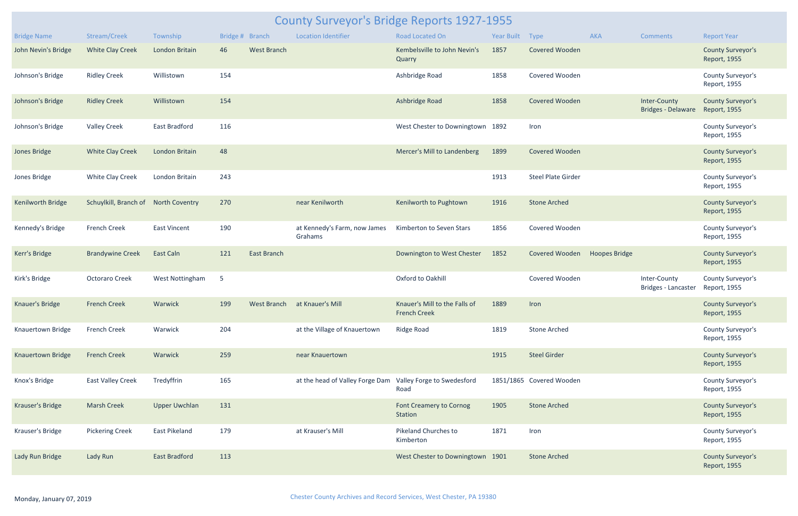|                          | <b>County Surveyor's Bridge Reports 1927-1955</b> |                        |                 |                    |                                                            |                                                      |                 |                           |                      |                                           |                                          |  |  |
|--------------------------|---------------------------------------------------|------------------------|-----------------|--------------------|------------------------------------------------------------|------------------------------------------------------|-----------------|---------------------------|----------------------|-------------------------------------------|------------------------------------------|--|--|
| <b>Bridge Name</b>       | Stream/Creek                                      | Township               | Bridge # Branch |                    | <b>Location Identifier</b>                                 | <b>Road Located On</b>                               | Year Built Type |                           | AKA                  | <b>Comments</b>                           | <b>Report Year</b>                       |  |  |
| John Nevin's Bridge      | <b>White Clay Creek</b>                           | London Britain         | 46              | <b>West Branch</b> |                                                            | Kembelsville to John Nevin's<br>Quarry               | 1857            | <b>Covered Wooden</b>     |                      |                                           | <b>County Surveyor's</b><br>Report, 1955 |  |  |
| Johnson's Bridge         | <b>Ridley Creek</b>                               | Willistown             | 154             |                    |                                                            | Ashbridge Road                                       | 1858            | Covered Wooden            |                      |                                           | County Surveyor's<br>Report, 1955        |  |  |
| Johnson's Bridge         | <b>Ridley Creek</b>                               | Willistown             | 154             |                    |                                                            | Ashbridge Road                                       | 1858            | <b>Covered Wooden</b>     |                      | Inter-County<br><b>Bridges - Delaware</b> | <b>County Surveyor's</b><br>Report, 1955 |  |  |
| Johnson's Bridge         | <b>Valley Creek</b>                               | East Bradford          | 116             |                    |                                                            | West Chester to Downingtown 1892                     |                 | Iron                      |                      |                                           | County Surveyor's<br>Report, 1955        |  |  |
| Jones Bridge             | <b>White Clay Creek</b>                           | London Britain         | 48              |                    |                                                            | Mercer's Mill to Landenberg                          | 1899            | <b>Covered Wooden</b>     |                      |                                           | <b>County Surveyor's</b><br>Report, 1955 |  |  |
| Jones Bridge             | <b>White Clay Creek</b>                           | London Britain         | 243             |                    |                                                            |                                                      | 1913            | <b>Steel Plate Girder</b> |                      |                                           | County Surveyor's<br>Report, 1955        |  |  |
| Kenilworth Bridge        | Schuylkill, Branch of                             | <b>North Coventry</b>  | 270             |                    | near Kenilworth                                            | Kenilworth to Pughtown                               | 1916            | <b>Stone Arched</b>       |                      |                                           | <b>County Surveyor's</b><br>Report, 1955 |  |  |
| Kennedy's Bridge         | <b>French Creek</b>                               | <b>East Vincent</b>    | 190             |                    | at Kennedy's Farm, now James<br>Grahams                    | Kimberton to Seven Stars                             | 1856            | Covered Wooden            |                      |                                           | County Surveyor's<br>Report, 1955        |  |  |
| Kerr's Bridge            | <b>Brandywine Creek</b>                           | East Caln              | 121             | <b>East Branch</b> |                                                            | Downington to West Chester                           | 1852            | <b>Covered Wooden</b>     | <b>Hoopes Bridge</b> |                                           | <b>County Surveyor's</b><br>Report, 1955 |  |  |
| Kirk's Bridge            | <b>Octoraro Creek</b>                             | <b>West Nottingham</b> | $5\phantom{.0}$ |                    |                                                            | Oxford to Oakhill                                    |                 | Covered Wooden            |                      | Inter-County<br>Bridges - Lancaster       | County Surveyor's<br>Report, 1955        |  |  |
| <b>Knauer's Bridge</b>   | <b>French Creek</b>                               | Warwick                | 199             | <b>West Branch</b> | at Knauer's Mill                                           | Knauer's Mill to the Falls of<br><b>French Creek</b> | 1889            | <b>Iron</b>               |                      |                                           | <b>County Surveyor's</b><br>Report, 1955 |  |  |
| Knauertown Bridge        | <b>French Creek</b>                               | Warwick                | 204             |                    | at the Village of Knauertown                               | Ridge Road                                           | 1819            | <b>Stone Arched</b>       |                      |                                           | County Surveyor's<br>Report, 1955        |  |  |
| <b>Knauertown Bridge</b> | <b>French Creek</b>                               | Warwick                | 259             |                    | near Knauertown                                            |                                                      | 1915            | <b>Steel Girder</b>       |                      |                                           | <b>County Surveyor's</b><br>Report, 1955 |  |  |
| Knox's Bridge            | <b>East Valley Creek</b>                          | Tredyffrin             | 165             |                    | at the head of Valley Forge Dam Valley Forge to Swedesford | Road                                                 |                 | 1851/1865 Covered Wooden  |                      |                                           | County Surveyor's<br>Report, 1955        |  |  |
|                          | <b>Marsh Creek</b>                                | <b>Upper Uwchlan</b>   | 131             |                    |                                                            | Font Creamery to Cornog<br><b>Station</b>            | 1905            | <b>Stone Arched</b>       |                      |                                           | <b>County Surveyor's</b><br>Report, 1955 |  |  |
| Krauser's Bridge         |                                                   |                        |                 |                    |                                                            |                                                      |                 |                           |                      |                                           |                                          |  |  |
| Krauser's Bridge         | <b>Pickering Creek</b>                            | <b>East Pikeland</b>   | 179             |                    | at Krauser's Mill                                          | Pikeland Churches to<br>Kimberton                    | 1871            | Iron                      |                      |                                           | County Surveyor's<br>Report, 1955        |  |  |
| Lady Run Bridge          | Lady Run                                          | <b>East Bradford</b>   | 113             |                    |                                                            | West Chester to Downingtown 1901                     |                 | <b>Stone Arched</b>       |                      |                                           | <b>County Surveyor's</b><br>Report, 1955 |  |  |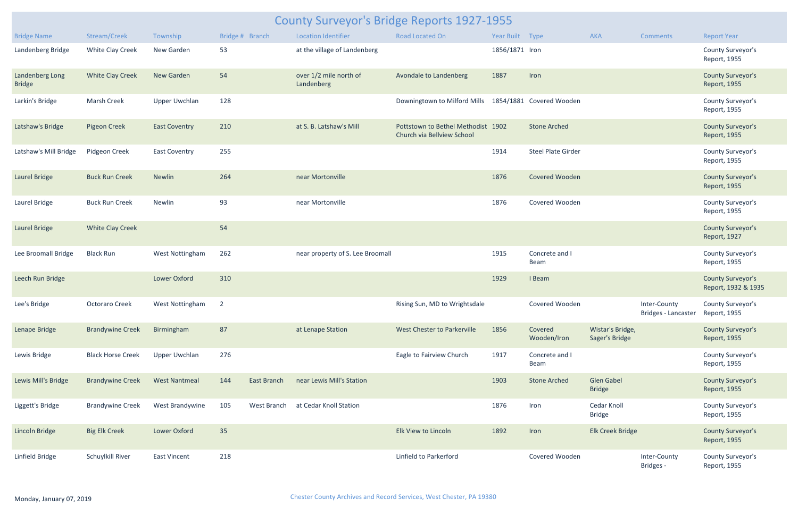|                                  | County Surveyor's Bridge Reports 1927-1955 |                        |                 |             |                                      |                                                                  |                 |                           |                                    |                                     |                                                 |  |  |
|----------------------------------|--------------------------------------------|------------------------|-----------------|-------------|--------------------------------------|------------------------------------------------------------------|-----------------|---------------------------|------------------------------------|-------------------------------------|-------------------------------------------------|--|--|
| <b>Bridge Name</b>               | Stream/Creek                               | Township               | Bridge # Branch |             | <b>Location Identifier</b>           | <b>Road Located On</b>                                           | Year Built Type |                           | AKA                                | <b>Comments</b>                     | <b>Report Year</b>                              |  |  |
| Landenberg Bridge                | White Clay Creek                           | New Garden             | 53              |             | at the village of Landenberg         |                                                                  | 1856/1871 Iron  |                           |                                    |                                     | County Surveyor's<br>Report, 1955               |  |  |
| Landenberg Long<br><b>Bridge</b> | <b>White Clay Creek</b>                    | New Garden             | 54              |             | over 1/2 mile north of<br>Landenberg | Avondale to Landenberg                                           | 1887            | Iron                      |                                    |                                     | <b>County Surveyor's</b><br>Report, 1955        |  |  |
| Larkin's Bridge                  | <b>Marsh Creek</b>                         | <b>Upper Uwchlan</b>   | 128             |             |                                      | Downingtown to Milford Mills                                     |                 | 1854/1881 Covered Wooden  |                                    |                                     | County Surveyor's<br>Report, 1955               |  |  |
| Latshaw's Bridge                 | <b>Pigeon Creek</b>                        | <b>East Coventry</b>   | 210             |             | at S. B. Latshaw's Mill              | Pottstown to Bethel Methodist 1902<br>Church via Bellview School |                 | <b>Stone Arched</b>       |                                    |                                     | <b>County Surveyor's</b><br>Report, 1955        |  |  |
| Latshaw's Mill Bridge            | Pidgeon Creek                              | <b>East Coventry</b>   | 255             |             |                                      |                                                                  | 1914            | <b>Steel Plate Girder</b> |                                    |                                     | County Surveyor's<br>Report, 1955               |  |  |
| Laurel Bridge                    | <b>Buck Run Creek</b>                      | <b>Newlin</b>          | 264             |             | near Mortonville                     |                                                                  | 1876            | Covered Wooden            |                                    |                                     | <b>County Surveyor's</b><br>Report, 1955        |  |  |
| Laurel Bridge                    | <b>Buck Run Creek</b>                      | Newlin                 | 93              |             | near Mortonville                     |                                                                  | 1876            | Covered Wooden            |                                    |                                     | County Surveyor's<br>Report, 1955               |  |  |
| Laurel Bridge                    | <b>White Clay Creek</b>                    |                        | 54              |             |                                      |                                                                  |                 |                           |                                    |                                     | <b>County Surveyor's</b><br>Report, 1927        |  |  |
| Lee Broomall Bridge              | <b>Black Run</b>                           | <b>West Nottingham</b> | 262             |             | near property of S. Lee Broomall     |                                                                  | 1915            | Concrete and I<br>Beam    |                                    |                                     | County Surveyor's<br>Report, 1955               |  |  |
| Leech Run Bridge                 |                                            | <b>Lower Oxford</b>    | 310             |             |                                      |                                                                  | 1929            | I Beam                    |                                    |                                     | <b>County Surveyor's</b><br>Report, 1932 & 1935 |  |  |
| Lee's Bridge                     | Octoraro Creek                             | West Nottingham 2      |                 |             |                                      | Rising Sun, MD to Wrightsdale                                    |                 | Covered Wooden            |                                    | Inter-County<br>Bridges - Lancaster | County Surveyor's<br>Report, 1955               |  |  |
| Lenape Bridge                    | <b>Brandywine Creek</b>                    | Birmingham             | 87              |             | at Lenape Station                    | West Chester to Parkerville                                      | 1856            | Covered<br>Wooden/Iron    | Wistar's Bridge,<br>Sager's Bridge |                                     | <b>County Surveyor's</b><br>Report, 1955        |  |  |
| Lewis Bridge                     | <b>Black Horse Creek</b>                   | <b>Upper Uwchlan</b>   | 276             |             |                                      | Eagle to Fairview Church                                         | 1917            | Concrete and I<br>Beam    |                                    |                                     | County Surveyor's<br>Report, 1955               |  |  |
| Lewis Mill's Bridge              | <b>Brandywine Creek</b>                    | <b>West Nantmeal</b>   | 144             | East Branch | near Lewis Mill's Station            |                                                                  | 1903            | <b>Stone Arched</b>       | <b>Glen Gabel</b><br><b>Bridge</b> |                                     | <b>County Surveyor's</b><br>Report, 1955        |  |  |
| Liggett's Bridge                 | <b>Brandywine Creek</b>                    | West Brandywine        | 105             | West Branch | at Cedar Knoll Station               |                                                                  | 1876            | Iron                      | Cedar Knoll<br><b>Bridge</b>       |                                     | County Surveyor's<br>Report, 1955               |  |  |
| <b>Lincoln Bridge</b>            | <b>Big Elk Creek</b>                       | Lower Oxford           | 35              |             |                                      | Elk View to Lincoln                                              | 1892            | Iron                      | Elk Creek Bridge                   |                                     | <b>County Surveyor's</b><br>Report, 1955        |  |  |
| Linfield Bridge                  | Schuylkill River                           | <b>East Vincent</b>    | 218             |             |                                      | Linfield to Parkerford                                           |                 | Covered Wooden            |                                    | Inter-County<br>Bridges -           | County Surveyor's<br>Report, 1955               |  |  |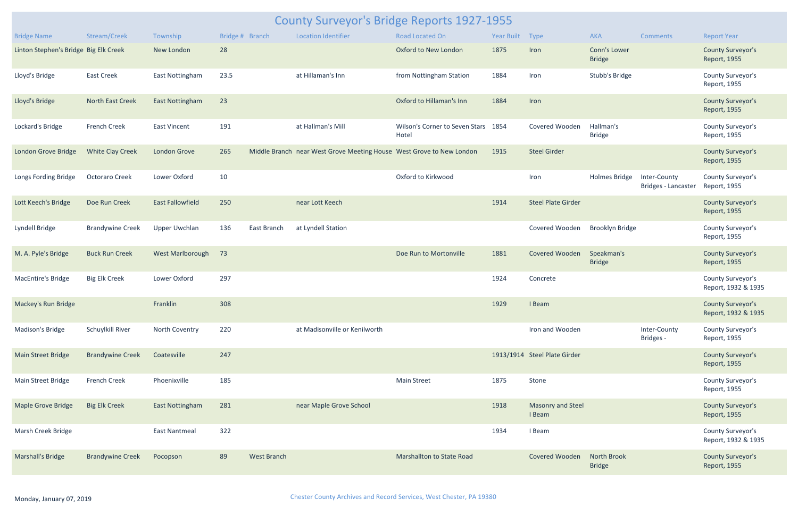|                                       | <b>County Surveyor's Bridge Reports 1927-1955</b> |                         |                 |                    |                                                                      |                                         |            |                                    |                                      |                                     |                                                 |  |  |
|---------------------------------------|---------------------------------------------------|-------------------------|-----------------|--------------------|----------------------------------------------------------------------|-----------------------------------------|------------|------------------------------------|--------------------------------------|-------------------------------------|-------------------------------------------------|--|--|
| <b>Bridge Name</b>                    | Stream/Creek                                      | Township                | Bridge # Branch |                    | <b>Location Identifier</b>                                           | Road Located On                         | Year Built | Type                               | AKA                                  | <b>Comments</b>                     | <b>Report Year</b>                              |  |  |
| Linton Stephen's Bridge Big Elk Creek |                                                   | New London              | 28              |                    |                                                                      | Oxford to New London                    | 1875       | Iron                               | <b>Conn's Lower</b><br><b>Bridge</b> |                                     | <b>County Surveyor's</b><br>Report, 1955        |  |  |
| Lloyd's Bridge                        | <b>East Creek</b>                                 | East Nottingham         | 23.5            |                    | at Hillaman's Inn                                                    | from Nottingham Station                 | 1884       | Iron                               | Stubb's Bridge                       |                                     | County Surveyor's<br>Report, 1955               |  |  |
| Lloyd's Bridge                        | North East Creek                                  | <b>East Nottingham</b>  | 23              |                    |                                                                      | Oxford to Hillaman's Inn                | 1884       | Iron                               |                                      |                                     | <b>County Surveyor's</b><br>Report, 1955        |  |  |
| Lockard's Bridge                      | <b>French Creek</b>                               | <b>East Vincent</b>     | 191             |                    | at Hallman's Mill                                                    | Wilson's Corner to Seven Stars<br>Hotel | 1854       | Covered Wooden                     | Hallman's<br><b>Bridge</b>           |                                     | County Surveyor's<br>Report, 1955               |  |  |
| London Grove Bridge                   | <b>White Clay Creek</b>                           | London Grove            | 265             |                    | Middle Branch near West Grove Meeting House West Grove to New London |                                         | 1915       | <b>Steel Girder</b>                |                                      |                                     | <b>County Surveyor's</b><br>Report, 1955        |  |  |
| Longs Fording Bridge                  | <b>Octoraro Creek</b>                             | Lower Oxford            | 10              |                    |                                                                      | Oxford to Kirkwood                      |            | Iron                               | Holmes Bridge                        | Inter-County<br>Bridges - Lancaster | County Surveyor's<br>Report, 1955               |  |  |
| Lott Keech's Bridge                   | Doe Run Creek                                     | <b>East Fallowfield</b> | 250             |                    | near Lott Keech                                                      |                                         | 1914       | <b>Steel Plate Girder</b>          |                                      |                                     | <b>County Surveyor's</b><br>Report, 1955        |  |  |
| Lyndell Bridge                        | <b>Brandywine Creek</b>                           | <b>Upper Uwchlan</b>    | 136             | East Branch        | at Lyndell Station                                                   |                                         |            | Covered Wooden                     | <b>Brooklyn Bridge</b>               |                                     | County Surveyor's<br>Report, 1955               |  |  |
| M. A. Pyle's Bridge                   | <b>Buck Run Creek</b>                             | West Marlborough        | 73              |                    |                                                                      | Doe Run to Mortonville                  | 1881       | Covered Wooden                     | Speakman's<br><b>Bridge</b>          |                                     | <b>County Surveyor's</b><br>Report, 1955        |  |  |
| <b>MacEntire's Bridge</b>             | <b>Big Elk Creek</b>                              | Lower Oxford            | 297             |                    |                                                                      |                                         | 1924       | Concrete                           |                                      |                                     | County Surveyor's<br>Report, 1932 & 1935        |  |  |
| Mackey's Run Bridge                   |                                                   | Franklin                | 308             |                    |                                                                      |                                         | 1929       | I Beam                             |                                      |                                     | <b>County Surveyor's</b><br>Report, 1932 & 1935 |  |  |
| Madison's Bridge                      | Schuylkill River                                  | North Coventry          | 220             |                    | at Madisonville or Kenilworth                                        |                                         |            | Iron and Wooden                    |                                      | Inter-County<br>Bridges -           | County Surveyor's<br>Report, 1955               |  |  |
| <b>Main Street Bridge</b>             | <b>Brandywine Creek</b>                           | Coatesville             | 247             |                    |                                                                      |                                         |            | 1913/1914 Steel Plate Girder       |                                      |                                     | <b>County Surveyor's</b><br>Report, 1955        |  |  |
| Main Street Bridge                    | <b>French Creek</b>                               | Phoenixville            | 185             |                    |                                                                      | <b>Main Street</b>                      | 1875       | Stone                              |                                      |                                     | County Surveyor's<br>Report, 1955               |  |  |
| <b>Maple Grove Bridge</b>             | <b>Big Elk Creek</b>                              | <b>East Nottingham</b>  | 281             |                    | near Maple Grove School                                              |                                         | 1918       | <b>Masonry and Steel</b><br>I Beam |                                      |                                     | <b>County Surveyor's</b><br>Report, 1955        |  |  |
| Marsh Creek Bridge                    |                                                   | <b>East Nantmeal</b>    | 322             |                    |                                                                      |                                         | 1934       | I Beam                             |                                      |                                     | County Surveyor's<br>Report, 1932 & 1935        |  |  |
| Marshall's Bridge                     | <b>Brandywine Creek</b>                           | Pocopson                | 89              | <b>West Branch</b> |                                                                      | <b>Marshallton to State Road</b>        |            | <b>Covered Wooden</b>              | <b>North Brook</b><br><b>Bridge</b>  |                                     | <b>County Surveyor's</b><br>Report, 1955        |  |  |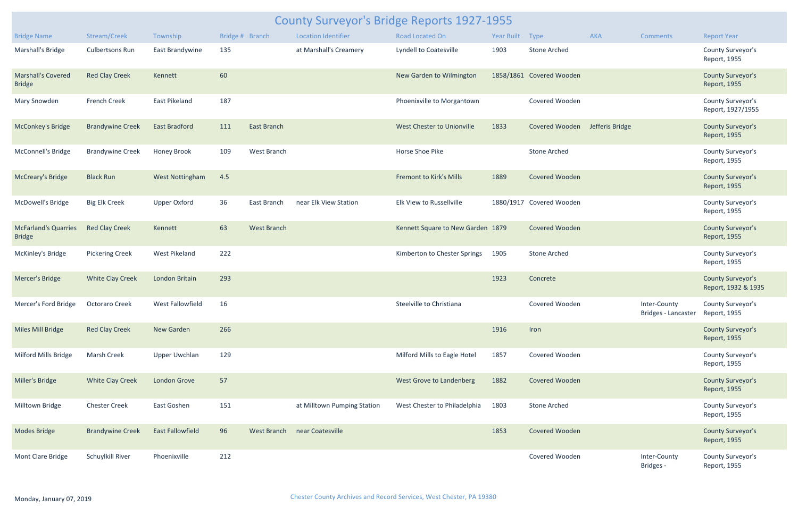| <b>County Surveyor's Bridge Reports 1927-1955</b> |                         |                         |     |                    |                              |                                   |                 |                          |                 |                                                  |                                                 |  |
|---------------------------------------------------|-------------------------|-------------------------|-----|--------------------|------------------------------|-----------------------------------|-----------------|--------------------------|-----------------|--------------------------------------------------|-------------------------------------------------|--|
| <b>Bridge Name</b>                                | Stream/Creek            | Township                |     | Bridge # Branch    | <b>Location Identifier</b>   | Road Located On                   | Year Built Type |                          | AKA             | <b>Comments</b>                                  | <b>Report Year</b>                              |  |
| Marshall's Bridge                                 | <b>Culbertsons Run</b>  | East Brandywine         | 135 |                    | at Marshall's Creamery       | Lyndell to Coatesville            | 1903            | <b>Stone Arched</b>      |                 |                                                  | County Surveyor's<br>Report, 1955               |  |
| <b>Marshall's Covered</b><br><b>Bridge</b>        | <b>Red Clay Creek</b>   | Kennett                 | 60  |                    |                              | New Garden to Wilmington          |                 | 1858/1861 Covered Wooden |                 |                                                  | <b>County Surveyor's</b><br>Report, 1955        |  |
| Mary Snowden                                      | <b>French Creek</b>     | East Pikeland           | 187 |                    |                              | Phoenixville to Morgantown        |                 | Covered Wooden           |                 |                                                  | County Surveyor's<br>Report, 1927/1955          |  |
| <b>McConkey's Bridge</b>                          | <b>Brandywine Creek</b> | <b>East Bradford</b>    | 111 | <b>East Branch</b> |                              | West Chester to Unionville        | 1833            | Covered Wooden           | Jefferis Bridge |                                                  | <b>County Surveyor's</b><br>Report, 1955        |  |
| McConnell's Bridge                                | <b>Brandywine Creek</b> | Honey Brook             | 109 | West Branch        |                              | Horse Shoe Pike                   |                 | <b>Stone Arched</b>      |                 |                                                  | County Surveyor's<br>Report, 1955               |  |
| <b>McCreary's Bridge</b>                          | <b>Black Run</b>        | <b>West Nottingham</b>  | 4.5 |                    |                              | <b>Fremont to Kirk's Mills</b>    | 1889            | <b>Covered Wooden</b>    |                 |                                                  | <b>County Surveyor's</b><br>Report, 1955        |  |
| McDowell's Bridge                                 | <b>Big Elk Creek</b>    | Upper Oxford            | 36  | East Branch        | near Elk View Station        | Elk View to Russellville          |                 | 1880/1917 Covered Wooden |                 |                                                  | County Surveyor's<br>Report, 1955               |  |
| <b>McFarland's Quarries</b><br><b>Bridge</b>      | <b>Red Clay Creek</b>   | Kennett                 | 63  | <b>West Branch</b> |                              | Kennett Square to New Garden 1879 |                 | <b>Covered Wooden</b>    |                 |                                                  | <b>County Surveyor's</b><br>Report, 1955        |  |
| McKinley's Bridge                                 | <b>Pickering Creek</b>  | West Pikeland           | 222 |                    |                              | Kimberton to Chester Springs      | 1905            | <b>Stone Arched</b>      |                 |                                                  | County Surveyor's<br>Report, 1955               |  |
| Mercer's Bridge                                   | <b>White Clay Creek</b> | London Britain          | 293 |                    |                              |                                   | 1923            | Concrete                 |                 |                                                  | <b>County Surveyor's</b><br>Report, 1932 & 1935 |  |
| Mercer's Ford Bridge                              | <b>Octoraro Creek</b>   | West Fallowfield        | 16  |                    |                              | Steelville to Christiana          |                 | Covered Wooden           |                 | Inter-County<br>Bridges - Lancaster Report, 1955 | County Surveyor's                               |  |
| Miles Mill Bridge                                 | <b>Red Clay Creek</b>   | New Garden              | 266 |                    |                              |                                   | 1916            | Iron                     |                 |                                                  | <b>County Surveyor's</b><br>Report, 1955        |  |
| Milford Mills Bridge                              | <b>Marsh Creek</b>      | <b>Upper Uwchlan</b>    | 129 |                    |                              | Milford Mills to Eagle Hotel      | 1857            | Covered Wooden           |                 |                                                  | County Surveyor's<br>Report, 1955               |  |
| Miller's Bridge                                   | <b>White Clay Creek</b> | <b>London Grove</b>     | 57  |                    |                              | <b>West Grove to Landenberg</b>   | 1882            | <b>Covered Wooden</b>    |                 |                                                  | <b>County Surveyor's</b><br>Report, 1955        |  |
| Milltown Bridge                                   | <b>Chester Creek</b>    | East Goshen             | 151 |                    | at Milltown Pumping Station  | West Chester to Philadelphia      | 1803            | <b>Stone Arched</b>      |                 |                                                  | County Surveyor's<br>Report, 1955               |  |
| <b>Modes Bridge</b>                               | <b>Brandywine Creek</b> | <b>East Fallowfield</b> | 96  |                    | West Branch near Coatesville |                                   | 1853            | Covered Wooden           |                 |                                                  | <b>County Surveyor's</b><br>Report, 1955        |  |
| Mont Clare Bridge                                 | Schuylkill River        | Phoenixville            | 212 |                    |                              |                                   |                 | Covered Wooden           |                 | Inter-County<br>Bridges -                        | County Surveyor's<br>Report, 1955               |  |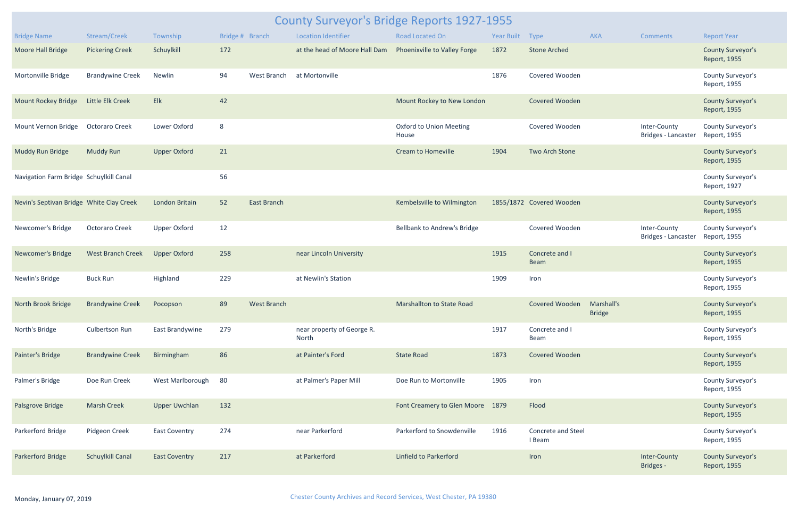| <b>County Surveyor's Bridge Reports 1927-1955</b> |                           |                      |                 |                    |                                     |                                         |                 |                                     |               |                                     |                                          |  |
|---------------------------------------------------|---------------------------|----------------------|-----------------|--------------------|-------------------------------------|-----------------------------------------|-----------------|-------------------------------------|---------------|-------------------------------------|------------------------------------------|--|
| <b>Bridge Name</b>                                | Stream/Creek              | Township             | Bridge # Branch |                    | <b>Location Identifier</b>          | <b>Road Located On</b>                  | Year Built Type |                                     | <b>AKA</b>    | Comments                            | <b>Report Year</b>                       |  |
| Moore Hall Bridge                                 | <b>Pickering Creek</b>    | Schuylkill           | 172             |                    | at the head of Moore Hall Dam       | Phoenixville to Valley Forge            | 1872            | <b>Stone Arched</b>                 |               |                                     | <b>County Surveyor's</b><br>Report, 1955 |  |
| Mortonville Bridge                                | <b>Brandywine Creek</b>   | Newlin               | 94              | West Branch        | at Mortonville                      |                                         | 1876            | Covered Wooden                      |               |                                     | County Surveyor's<br>Report, 1955        |  |
| <b>Mount Rockey Bridge</b>                        | <b>Little Elk Creek</b>   | Elk                  | 42              |                    |                                     | Mount Rockey to New London              |                 | Covered Wooden                      |               |                                     | <b>County Surveyor's</b><br>Report, 1955 |  |
| Mount Vernon Bridge                               | <b>Octoraro Creek</b>     | Lower Oxford         | $8\phantom{1}$  |                    |                                     | <b>Oxford to Union Meeting</b><br>House |                 | Covered Wooden                      |               | Inter-County<br>Bridges - Lancaster | County Surveyor's<br>Report, 1955        |  |
| Muddy Run Bridge                                  | <b>Muddy Run</b>          | <b>Upper Oxford</b>  | 21              |                    |                                     | <b>Cream to Homeville</b>               | 1904            | Two Arch Stone                      |               |                                     | <b>County Surveyor's</b><br>Report, 1955 |  |
| Navigation Farm Bridge Schuylkill Canal           |                           |                      | 56              |                    |                                     |                                         |                 |                                     |               |                                     | County Surveyor's<br>Report, 1927        |  |
| Nevin's Septivan Bridge White Clay Creek          |                           | London Britain       | 52              | <b>East Branch</b> |                                     | Kembelsville to Wilmington              |                 | 1855/1872 Covered Wooden            |               |                                     | <b>County Surveyor's</b><br>Report, 1955 |  |
| Newcomer's Bridge                                 | <b>Octoraro Creek</b>     | <b>Upper Oxford</b>  | 12              |                    |                                     | <b>Bellbank to Andrew's Bridge</b>      |                 | Covered Wooden                      |               | Inter-County<br>Bridges - Lancaster | County Surveyor's<br>Report, 1955        |  |
| Newcomer's Bridge                                 | <b>West Branch Creek</b>  | <b>Upper Oxford</b>  | 258             |                    | near Lincoln University             |                                         | 1915            | Concrete and I<br><b>Beam</b>       |               |                                     | <b>County Surveyor's</b><br>Report, 1955 |  |
| Newlin's Bridge                                   | <b>Buck Run</b>           | Highland             | 229             |                    | at Newlin's Station                 |                                         | 1909            | Iron                                |               |                                     | County Surveyor's<br>Report, 1955        |  |
| North Brook Bridge                                | Brandywine Creek Pocopson |                      | 89              | West Branch        |                                     | Marshallton to State Road               |                 | Covered Wooden Marshall's           | <b>Bridge</b> |                                     | <b>County Surveyor's</b><br>Report, 1955 |  |
| North's Bridge                                    | Culbertson Run            | East Brandywine      | 279             |                    | near property of George R.<br>North |                                         | 1917            | Concrete and I<br><b>Beam</b>       |               |                                     | County Surveyor's<br>Report, 1955        |  |
| Painter's Bridge                                  | <b>Brandywine Creek</b>   | Birmingham           | 86              |                    | at Painter's Ford                   | <b>State Road</b>                       | 1873            | Covered Wooden                      |               |                                     | <b>County Surveyor's</b><br>Report, 1955 |  |
| Palmer's Bridge                                   | Doe Run Creek             | West Marlborough     | 80              |                    | at Palmer's Paper Mill              | Doe Run to Mortonville                  | 1905            | Iron                                |               |                                     | County Surveyor's<br>Report, 1955        |  |
| Palsgrove Bridge                                  | <b>Marsh Creek</b>        | <b>Upper Uwchlan</b> | 132             |                    |                                     | Font Creamery to Glen Moore 1879        |                 | Flood                               |               |                                     | <b>County Surveyor's</b><br>Report, 1955 |  |
| Parkerford Bridge                                 | Pidgeon Creek             | <b>East Coventry</b> | 274             |                    | near Parkerford                     | Parkerford to Snowdenville              | 1916            | <b>Concrete and Steel</b><br>I Beam |               |                                     | County Surveyor's<br>Report, 1955        |  |
| Parkerford Bridge                                 | <b>Schuylkill Canal</b>   | <b>East Coventry</b> | 217             |                    | at Parkerford                       | <b>Linfield to Parkerford</b>           |                 | Iron                                |               | Inter-County<br><b>Bridges -</b>    | <b>County Surveyor's</b><br>Report, 1955 |  |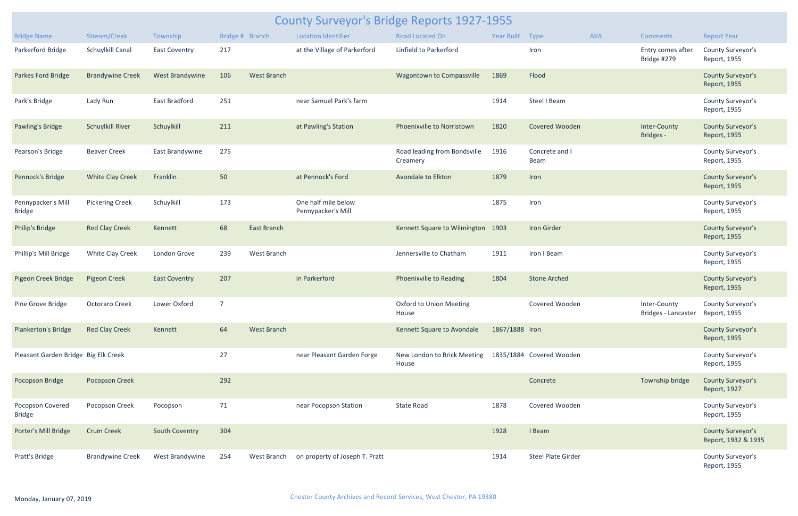| <b>County Surveyor's Bridge Reports 1927-1955</b> |                         |                      |     |                    |                                           |                                          |                 |                           |            |                                                  |                                                 |  |
|---------------------------------------------------|-------------------------|----------------------|-----|--------------------|-------------------------------------------|------------------------------------------|-----------------|---------------------------|------------|--------------------------------------------------|-------------------------------------------------|--|
| <b>Bridge Name</b>                                | Stream/Creek            | Township             |     | Bridge # Branch    | <b>Location Identifier</b>                | Road Located On                          | Year Built Type |                           | <b>AKA</b> | <b>Comments</b>                                  | <b>Report Year</b>                              |  |
| Parkerford Bridge                                 | Schuylkill Canal        | <b>East Coventry</b> | 217 |                    | at the Village of Parkerford              | Linfield to Parkerford                   |                 | Iron                      |            | Entry comes after<br>Bridge #279                 | County Surveyor's<br>Report, 1955               |  |
| Parkes Ford Bridge                                | <b>Brandywine Creek</b> | West Brandywine      | 106 | <b>West Branch</b> |                                           | Wagontown to Compassville                | 1869            | Flood                     |            |                                                  | <b>County Surveyor's</b><br>Report, 1955        |  |
| Park's Bridge                                     | Lady Run                | East Bradford        | 251 |                    | near Samuel Park's farm                   |                                          | 1914            | Steel I Beam              |            |                                                  | County Surveyor's<br>Report, 1955               |  |
| <b>Pawling's Bridge</b>                           | <b>Schuylkill River</b> | Schuylkill           | 211 |                    | at Pawling's Station                      | Phoenixville to Norristown               | 1820            | Covered Wooden            |            | Inter-County<br>Bridges -                        | <b>County Surveyor's</b><br>Report, 1955        |  |
| Pearson's Bridge                                  | <b>Beaver Creek</b>     | East Brandywine      | 275 |                    |                                           | Road leading from Bondsville<br>Creamery | 1916            | Concrete and I<br>Beam    |            |                                                  | County Surveyor's<br>Report, 1955               |  |
| Pennock's Bridge                                  | <b>White Clay Creek</b> | Franklin             | 50  |                    | at Pennock's Ford                         | Avondale to Elkton                       | 1879            | Iron                      |            |                                                  | <b>County Surveyor's</b><br>Report, 1955        |  |
| Pennypacker's Mill<br><b>Bridge</b>               | <b>Pickering Creek</b>  | Schuylkill           | 173 |                    | One half mile below<br>Pennypacker's Mill |                                          | 1875            | Iron                      |            |                                                  | County Surveyor's<br>Report, 1955               |  |
| <b>Philip's Bridge</b>                            | <b>Red Clay Creek</b>   | Kennett              | 68  | East Branch        |                                           | Kennett Square to Wilmington 1903        |                 | <b>Iron Girder</b>        |            |                                                  | <b>County Surveyor's</b><br>Report, 1955        |  |
| Phillip's Mill Bridge                             | White Clay Creek        | London Grove         | 239 | <b>West Branch</b> |                                           | Jennersville to Chatham                  | 1911            | Iron I Beam               |            |                                                  | County Surveyor's<br>Report, 1955               |  |
| Pigeon Creek Bridge                               | <b>Pigeon Creek</b>     | <b>East Coventry</b> | 207 |                    | in Parkerford                             | Phoenixville to Reading                  | 1804            | <b>Stone Arched</b>       |            |                                                  | <b>County Surveyor's</b><br>Report, 1955        |  |
| Pine Grove Bridge                                 | Octoraro Creek          | Lower Oxford         |     |                    |                                           | <b>Oxford to Union Meeting</b><br>House  |                 | Covered Wooden            |            | Inter-County<br>Bridges - Lancaster Report, 1955 | <b>County Surveyor's</b>                        |  |
| <b>Plankerton's Bridge</b>                        | <b>Red Clay Creek</b>   | Kennett              | 64  | <b>West Branch</b> |                                           | Kennett Square to Avondale               | 1867/1888 Iron  |                           |            |                                                  | <b>County Surveyor's</b><br>Report, 1955        |  |
| Pleasant Garden Bridge Big Elk Creek              |                         |                      | 27  |                    | near Pleasant Garden Forge                | New London to Brick Meeting<br>House     |                 | 1835/1884 Covered Wooden  |            |                                                  | County Surveyor's<br>Report, 1955               |  |
| Pocopson Bridge                                   | Pocopson Creek          |                      | 292 |                    |                                           |                                          |                 | Concrete                  |            | Township bridge                                  | <b>County Surveyor's</b><br>Report, 1927        |  |
| Pocopson Covered<br><b>Bridge</b>                 | Pocopson Creek          | Pocopson             | 71  |                    | near Pocopson Station                     | State Road                               | 1878            | Covered Wooden            |            |                                                  | County Surveyor's<br>Report, 1955               |  |
| Porter's Mill Bridge                              | <b>Crum Creek</b>       | South Coventry       | 304 |                    |                                           |                                          | 1928            | I Beam                    |            |                                                  | <b>County Surveyor's</b><br>Report, 1932 & 1935 |  |
| Pratt's Bridge                                    | <b>Brandywine Creek</b> | West Brandywine      | 254 | West Branch        | on property of Joseph T. Pratt            |                                          | 1914            | <b>Steel Plate Girder</b> |            |                                                  | County Surveyor's<br>Report, 1955               |  |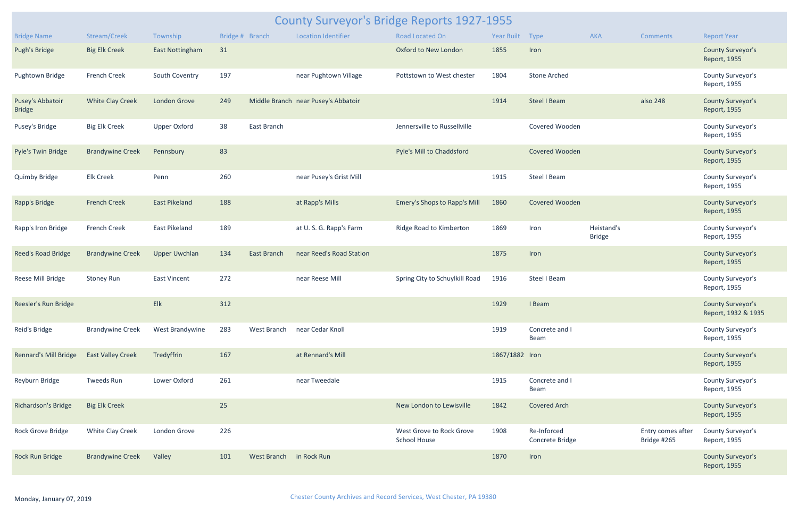| County Surveyor's Bridge Reports 1927-1955 |                          |                        |     |                         |                                     |                                                 |                |                                |                             |                                  |                                                 |  |
|--------------------------------------------|--------------------------|------------------------|-----|-------------------------|-------------------------------------|-------------------------------------------------|----------------|--------------------------------|-----------------------------|----------------------------------|-------------------------------------------------|--|
| <b>Bridge Name</b>                         | Stream/Creek             | Township               |     | Bridge # Branch         | <b>Location Identifier</b>          | <b>Road Located On</b>                          | Year Built     | Type                           | <b>AKA</b>                  | <b>Comments</b>                  | <b>Report Year</b>                              |  |
| <b>Pugh's Bridge</b>                       | <b>Big Elk Creek</b>     | <b>East Nottingham</b> | 31  |                         |                                     | Oxford to New London                            | 1855           | Iron                           |                             |                                  | <b>County Surveyor's</b><br>Report, 1955        |  |
| Pughtown Bridge                            | French Creek             | South Coventry         | 197 |                         | near Pughtown Village               | Pottstown to West chester                       | 1804           | <b>Stone Arched</b>            |                             |                                  | County Surveyor's<br>Report, 1955               |  |
| Pusey's Abbatoir<br><b>Bridge</b>          | <b>White Clay Creek</b>  | London Grove           | 249 |                         | Middle Branch near Pusey's Abbatoir |                                                 | 1914           | <b>Steel I Beam</b>            |                             | also 248                         | <b>County Surveyor's</b><br>Report, 1955        |  |
| Pusey's Bridge                             | <b>Big Elk Creek</b>     | <b>Upper Oxford</b>    | 38  | East Branch             |                                     | Jennersville to Russellville                    |                | Covered Wooden                 |                             |                                  | County Surveyor's<br>Report, 1955               |  |
| Pyle's Twin Bridge                         | <b>Brandywine Creek</b>  | Pennsbury              | 83  |                         |                                     | Pyle's Mill to Chaddsford                       |                | Covered Wooden                 |                             |                                  | <b>County Surveyor's</b><br>Report, 1955        |  |
| <b>Quimby Bridge</b>                       | <b>Elk Creek</b>         | Penn                   | 260 |                         | near Pusey's Grist Mill             |                                                 | 1915           | Steel I Beam                   |                             |                                  | County Surveyor's<br>Report, 1955               |  |
| Rapp's Bridge                              | <b>French Creek</b>      | <b>East Pikeland</b>   | 188 |                         | at Rapp's Mills                     | Emery's Shops to Rapp's Mill                    | 1860           | Covered Wooden                 |                             |                                  | <b>County Surveyor's</b><br>Report, 1955        |  |
| Rapp's Iron Bridge                         | <b>French Creek</b>      | <b>East Pikeland</b>   | 189 |                         | at U.S.G. Rapp's Farm               | Ridge Road to Kimberton                         | 1869           | Iron                           | Heistand's<br><b>Bridge</b> |                                  | County Surveyor's<br>Report, 1955               |  |
| Reed's Road Bridge                         | <b>Brandywine Creek</b>  | <b>Upper Uwchlan</b>   | 134 | East Branch             | near Reed's Road Station            |                                                 | 1875           | Iron                           |                             |                                  | <b>County Surveyor's</b><br>Report, 1955        |  |
| Reese Mill Bridge                          | <b>Stoney Run</b>        | East Vincent           | 272 |                         | near Reese Mill                     | Spring City to Schuylkill Road                  | 1916           | <b>Steel I Beam</b>            |                             |                                  | <b>County Surveyor's</b><br>Report, 1955        |  |
| Reesler's Run Bridge                       |                          | <b>Elk</b>             | 312 |                         |                                     |                                                 | 1929           | I Beam                         |                             |                                  | <b>County Surveyor's</b><br>Report, 1932 & 1935 |  |
| Reid's Bridge                              | <b>Brandywine Creek</b>  | West Brandywine        | 283 | West Branch             | near Cedar Knoll                    |                                                 | 1919           | Concrete and I<br>Beam         |                             |                                  | County Surveyor's<br>Report, 1955               |  |
| <b>Rennard's Mill Bridge</b>               | <b>East Valley Creek</b> | Tredyffrin             | 167 |                         | at Rennard's Mill                   |                                                 | 1867/1882 Iron |                                |                             |                                  | <b>County Surveyor's</b><br>Report, 1955        |  |
| Reyburn Bridge                             | Tweeds Run               | Lower Oxford           | 261 |                         | near Tweedale                       |                                                 | 1915           | Concrete and I<br>Beam         |                             |                                  | County Surveyor's<br>Report, 1955               |  |
| <b>Richardson's Bridge</b>                 | <b>Big Elk Creek</b>     |                        | 25  |                         |                                     | New London to Lewisville                        | 1842           | <b>Covered Arch</b>            |                             |                                  | <b>County Surveyor's</b><br>Report, 1955        |  |
| Rock Grove Bridge                          | White Clay Creek         | London Grove           | 226 |                         |                                     | West Grove to Rock Grove<br><b>School House</b> | 1908           | Re-Inforced<br>Concrete Bridge |                             | Entry comes after<br>Bridge #265 | County Surveyor's<br>Report, 1955               |  |
| Rock Run Bridge                            | <b>Brandywine Creek</b>  | Valley                 | 101 | West Branch in Rock Run |                                     |                                                 | 1870           | Iron                           |                             |                                  | <b>County Surveyor's</b><br>Report, 1955        |  |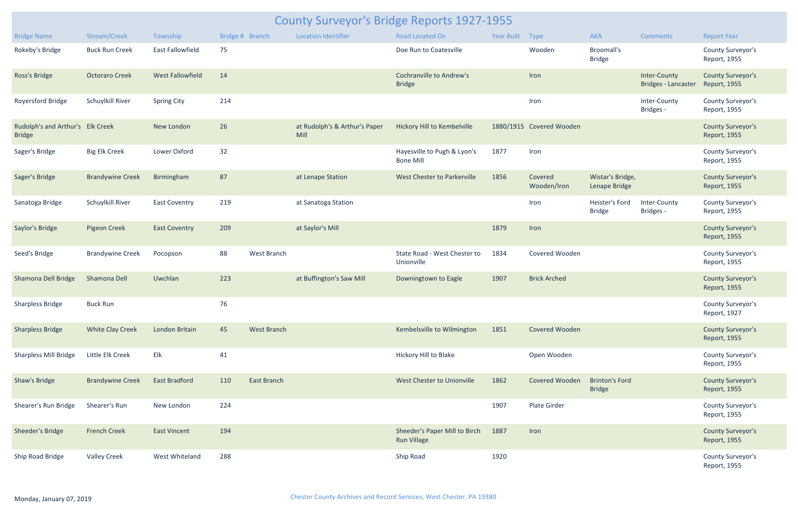| County Surveyor's Bridge Reports 1927-1955        |                         |                         |     |                    |                                       |                                                     |                 |                          |                                        |                                            |                                          |  |
|---------------------------------------------------|-------------------------|-------------------------|-----|--------------------|---------------------------------------|-----------------------------------------------------|-----------------|--------------------------|----------------------------------------|--------------------------------------------|------------------------------------------|--|
| <b>Bridge Name</b>                                | Stream/Creek            | Township                |     | Bridge # Branch    | <b>Location Identifier</b>            | <b>Road Located On</b>                              | Year Built Type |                          | <b>AKA</b>                             | <b>Comments</b>                            | <b>Report Year</b>                       |  |
| Rokeby's Bridge                                   | <b>Buck Run Creek</b>   | East Fallowfield        | 75  |                    |                                       | Doe Run to Coatesville                              |                 | Wooden                   | <b>Broomall's</b><br><b>Bridge</b>     |                                            | County Surveyor's<br>Report, 1955        |  |
| Ross's Bridge                                     | <b>Octoraro Creek</b>   | <b>West Fallowfield</b> | 14  |                    |                                       | <b>Cochranville to Andrew's</b><br><b>Bridge</b>    |                 | Iron                     |                                        | Inter-County<br><b>Bridges - Lancaster</b> | <b>County Surveyor's</b><br>Report, 1955 |  |
| Royersford Bridge                                 | Schuylkill River        | <b>Spring City</b>      | 214 |                    |                                       |                                                     |                 | Iron                     |                                        | Inter-County<br>Bridges -                  | County Surveyor's<br>Report, 1955        |  |
| Rudolph's and Arthur's Elk Creek<br><b>Bridge</b> |                         | New London              | 26  |                    | at Rudolph's & Arthur's Paper<br>Mill | Hickory Hill to Kembelville                         |                 | 1880/1915 Covered Wooden |                                        |                                            | <b>County Surveyor's</b><br>Report, 1955 |  |
| Sager's Bridge                                    | <b>Big Elk Creek</b>    | Lower Oxford            | 32  |                    |                                       | Hayesville to Pugh & Lyon's<br><b>Bone Mill</b>     | 1877            | Iron                     |                                        |                                            | County Surveyor's<br>Report, 1955        |  |
| Sager's Bridge                                    | <b>Brandywine Creek</b> | Birmingham              | 87  |                    | at Lenape Station                     | West Chester to Parkerville                         | 1856            | Covered<br>Wooden/Iron   | Wistar's Bridge,<br>Lenape Bridge      |                                            | <b>County Surveyor's</b><br>Report, 1955 |  |
| Sanatoga Bridge                                   | Schuylkill River        | <b>East Coventry</b>    | 219 |                    | at Sanatoga Station                   |                                                     |                 | Iron                     | Heister's Ford<br><b>Bridge</b>        | Inter-County<br>Bridges -                  | County Surveyor's<br>Report, 1955        |  |
| Saylor's Bridge                                   | <b>Pigeon Creek</b>     | <b>East Coventry</b>    | 209 |                    | at Saylor's Mill                      |                                                     | 1879            | Iron                     |                                        |                                            | <b>County Surveyor's</b><br>Report, 1955 |  |
| Seed's Bridge                                     | <b>Brandywine Creek</b> | Pocopson                | 88  | West Branch        |                                       | State Road - West Chester to<br>Unionville          | 1834            | Covered Wooden           |                                        |                                            | County Surveyor's<br>Report, 1955        |  |
| Shamona Dell Bridge                               | Shamona Dell            | Uwchlan                 | 223 |                    | at Buffington's Saw Mill              | Downingtown to Eagle                                | 1907            | <b>Brick Arched</b>      |                                        |                                            | <b>County Surveyor's</b><br>Report, 1955 |  |
| <b>Sharpless Bridge</b>                           | <b>Buck Run</b>         |                         | 76  |                    |                                       |                                                     |                 |                          |                                        |                                            | County Surveyor's<br>Report, 1927        |  |
| <b>Sharpless Bridge</b>                           | <b>White Clay Creek</b> | London Britain          | 45  | <b>West Branch</b> |                                       | Kembelsville to Wilmington                          | 1851            | Covered Wooden           |                                        |                                            | <b>County Surveyor's</b><br>Report, 1955 |  |
| <b>Sharpless Mill Bridge</b>                      | Little Elk Creek        | Elk                     | 41  |                    |                                       | Hickory Hill to Blake                               |                 | Open Wooden              |                                        |                                            | County Surveyor's<br>Report, 1955        |  |
| <b>Shaw's Bridge</b>                              | <b>Brandywine Creek</b> | <b>East Bradford</b>    | 110 | East Branch        |                                       | West Chester to Unionville                          | 1862            | Covered Wooden           | <b>Brinton's Ford</b><br><b>Bridge</b> |                                            | <b>County Surveyor's</b><br>Report, 1955 |  |
| Shearer's Run Bridge                              | Shearer's Run           | New London              | 224 |                    |                                       |                                                     | 1907            | Plate Girder             |                                        |                                            | County Surveyor's<br>Report, 1955        |  |
| Sheeder's Bridge                                  | <b>French Creek</b>     | <b>East Vincent</b>     | 194 |                    |                                       | Sheeder's Paper Mill to Birch<br><b>Run Village</b> | 1887            | Iron                     |                                        |                                            | <b>County Surveyor's</b><br>Report, 1955 |  |
| Ship Road Bridge                                  | <b>Valley Creek</b>     | West Whiteland          | 288 |                    |                                       | Ship Road                                           | 1920            |                          |                                        |                                            | County Surveyor's<br>Report, 1955        |  |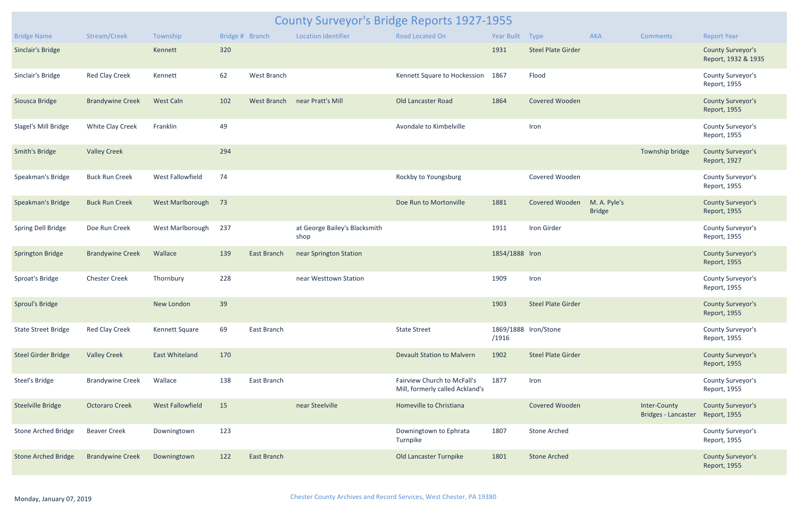| <b>County Surveyor's Bridge Reports 1927-1955</b> |                         |                         |                 |                    |                                       |                                                                |                 |                           |                               |                                     |                                                 |  |
|---------------------------------------------------|-------------------------|-------------------------|-----------------|--------------------|---------------------------------------|----------------------------------------------------------------|-----------------|---------------------------|-------------------------------|-------------------------------------|-------------------------------------------------|--|
| <b>Bridge Name</b>                                | Stream/Creek            | Township                | Bridge # Branch |                    | <b>Location Identifier</b>            | <b>Road Located On</b>                                         | Year Built Type |                           | <b>AKA</b>                    | <b>Comments</b>                     | <b>Report Year</b>                              |  |
| <b>Sinclair's Bridge</b>                          |                         | Kennett                 | 320             |                    |                                       |                                                                | 1931            | <b>Steel Plate Girder</b> |                               |                                     | <b>County Surveyor's</b><br>Report, 1932 & 1935 |  |
| Sinclair's Bridge                                 | Red Clay Creek          | Kennett                 | 62              | West Branch        |                                       | Kennett Square to Hockession 1867                              |                 | Flood                     |                               |                                     | County Surveyor's<br>Report, 1955               |  |
| Siousca Bridge                                    | <b>Brandywine Creek</b> | <b>West Caln</b>        | 102             | West Branch        | near Pratt's Mill                     | Old Lancaster Road                                             | 1864            | Covered Wooden            |                               |                                     | <b>County Surveyor's</b><br>Report, 1955        |  |
| Slagel's Mill Bridge                              | White Clay Creek        | Franklin                | 49              |                    |                                       | Avondale to Kimbelville                                        |                 | Iron                      |                               |                                     | County Surveyor's<br>Report, 1955               |  |
| <b>Smith's Bridge</b>                             | <b>Valley Creek</b>     |                         | 294             |                    |                                       |                                                                |                 |                           |                               | Township bridge                     | <b>County Surveyor's</b><br>Report, 1927        |  |
| Speakman's Bridge                                 | <b>Buck Run Creek</b>   | <b>West Fallowfield</b> | 74              |                    |                                       | Rockby to Youngsburg                                           |                 | Covered Wooden            |                               |                                     | County Surveyor's<br>Report, 1955               |  |
| Speakman's Bridge                                 | <b>Buck Run Creek</b>   | West Marlborough        | 73              |                    |                                       | Doe Run to Mortonville                                         | 1881            | Covered Wooden            | M. A. Pyle's<br><b>Bridge</b> |                                     | <b>County Surveyor's</b><br>Report, 1955        |  |
| Spring Dell Bridge                                | Doe Run Creek           | West Marlborough        | 237             |                    | at George Bailey's Blacksmith<br>shop |                                                                | 1911            | Iron Girder               |                               |                                     | County Surveyor's<br>Report, 1955               |  |
| <b>Springton Bridge</b>                           | <b>Brandywine Creek</b> | Wallace                 | 139             | <b>East Branch</b> | near Springton Station                |                                                                | 1854/1888 Iron  |                           |                               |                                     | <b>County Surveyor's</b><br>Report, 1955        |  |
| Sproat's Bridge                                   | <b>Chester Creek</b>    | Thornbury               | 228             |                    | near Westtown Station                 |                                                                | 1909            | Iron                      |                               |                                     | County Surveyor's<br>Report, 1955               |  |
| <b>Sproul's Bridge</b>                            |                         | New London              | 39              |                    |                                       |                                                                | 1903            | <b>Steel Plate Girder</b> |                               |                                     | <b>County Surveyor's</b><br>Report, 1955        |  |
| <b>State Street Bridge</b>                        | <b>Red Clay Creek</b>   | Kennett Square          | 69              | East Branch        |                                       | <b>State Street</b>                                            | /1916           | 1869/1888 Iron/Stone      |                               |                                     | County Surveyor's<br>Report, 1955               |  |
| <b>Steel Girder Bridge</b>                        | <b>Valley Creek</b>     | <b>East Whiteland</b>   | 170             |                    |                                       | <b>Devault Station to Malvern</b>                              | 1902            | <b>Steel Plate Girder</b> |                               |                                     | <b>County Surveyor's</b><br>Report, 1955        |  |
| <b>Steel's Bridge</b>                             | <b>Brandywine Creek</b> | Wallace                 | 138             | East Branch        |                                       | Fairview Church to McFall's<br>Mill, formerly called Ackland's | 1877            | Iron                      |                               |                                     | County Surveyor's<br>Report, 1955               |  |
| Steelville Bridge                                 | <b>Octoraro Creek</b>   | <b>West Fallowfield</b> | 15              |                    | near Steelville                       | Homeville to Christiana                                        |                 | Covered Wooden            |                               | Inter-County<br>Bridges - Lancaster | <b>County Surveyor's</b><br>Report, 1955        |  |
| Stone Arched Bridge                               | <b>Beaver Creek</b>     | Downingtown             | 123             |                    |                                       | Downingtown to Ephrata<br>Turnpike                             | 1807            | <b>Stone Arched</b>       |                               |                                     | County Surveyor's<br>Report, 1955               |  |
| <b>Stone Arched Bridge</b>                        | <b>Brandywine Creek</b> | Downingtown             | 122             | <b>East Branch</b> |                                       | Old Lancaster Turnpike                                         | 1801            | <b>Stone Arched</b>       |                               |                                     | <b>County Surveyor's</b><br>Report, 1955        |  |
|                                                   |                         |                         |                 |                    |                                       |                                                                |                 |                           |                               |                                     |                                                 |  |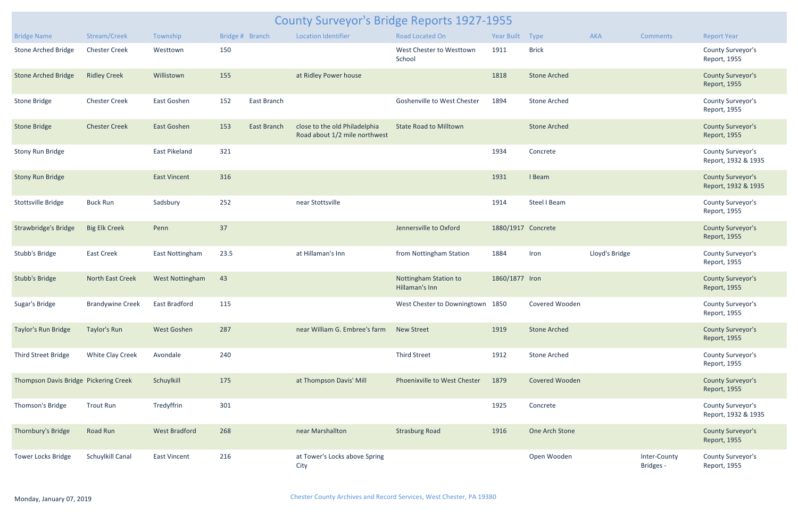| <b>County Surveyor's Bridge Reports 1927-1955</b> |                         |                        |                 |                    |                                                                |                                         |                    |                     |                |                           |                                                 |  |
|---------------------------------------------------|-------------------------|------------------------|-----------------|--------------------|----------------------------------------------------------------|-----------------------------------------|--------------------|---------------------|----------------|---------------------------|-------------------------------------------------|--|
| <b>Bridge Name</b>                                | Stream/Creek            | Township               | Bridge # Branch |                    | <b>Location Identifier</b>                                     | Road Located On                         | Year Built Type    |                     | <b>AKA</b>     | <b>Comments</b>           | <b>Report Year</b>                              |  |
| <b>Stone Arched Bridge</b>                        | <b>Chester Creek</b>    | Westtown               | 150             |                    |                                                                | West Chester to Westtown<br>School      | 1911               | <b>Brick</b>        |                |                           | County Surveyor's<br>Report, 1955               |  |
| <b>Stone Arched Bridge</b>                        | <b>Ridley Creek</b>     | Willistown             | 155             |                    | at Ridley Power house                                          |                                         | 1818               | <b>Stone Arched</b> |                |                           | <b>County Surveyor's</b><br>Report, 1955        |  |
| <b>Stone Bridge</b>                               | <b>Chester Creek</b>    | East Goshen            | 152             | East Branch        |                                                                | <b>Goshenville to West Chester</b>      | 1894               | <b>Stone Arched</b> |                |                           | County Surveyor's<br>Report, 1955               |  |
| <b>Stone Bridge</b>                               | <b>Chester Creek</b>    | <b>East Goshen</b>     | 153             | <b>East Branch</b> | close to the old Philadelphia<br>Road about 1/2 mile northwest | <b>State Road to Milltown</b>           |                    | <b>Stone Arched</b> |                |                           | <b>County Surveyor's</b><br>Report, 1955        |  |
| <b>Stony Run Bridge</b>                           |                         | <b>East Pikeland</b>   | 321             |                    |                                                                |                                         | 1934               | Concrete            |                |                           | County Surveyor's<br>Report, 1932 & 1935        |  |
| <b>Stony Run Bridge</b>                           |                         | <b>East Vincent</b>    | 316             |                    |                                                                |                                         | 1931               | I Beam              |                |                           | <b>County Surveyor's</b><br>Report, 1932 & 1935 |  |
| <b>Stottsville Bridge</b>                         | <b>Buck Run</b>         | Sadsbury               | 252             |                    | near Stottsville                                               |                                         | 1914               | Steel I Beam        |                |                           | County Surveyor's<br>Report, 1955               |  |
| Strawbridge's Bridge                              | <b>Big Elk Creek</b>    | Penn                   | 37              |                    |                                                                | Jennersville to Oxford                  | 1880/1917 Concrete |                     |                |                           | <b>County Surveyor's</b><br>Report, 1955        |  |
| Stubb's Bridge                                    | <b>East Creek</b>       | East Nottingham        | 23.5            |                    | at Hillaman's Inn                                              | from Nottingham Station                 | 1884               | Iron                | Lloyd's Bridge |                           | County Surveyor's<br>Report, 1955               |  |
| <b>Stubb's Bridge</b>                             | North East Creek        | <b>West Nottingham</b> | 43              |                    |                                                                | Nottingham Station to<br>Hillaman's Inn | 1860/1877 Iron     |                     |                |                           | <b>County Surveyor's</b><br>Report, 1955        |  |
| Sugar's Bridge                                    | <b>Brandywine Creek</b> | East Bradford          | 115             |                    |                                                                | West Chester to Downingtown 1850        |                    | Covered Wooden      |                |                           | County Surveyor's<br>Report, 1955               |  |
| Taylor's Run Bridge                               | Taylor's Run            | West Goshen            | 287             |                    | near William G. Embree's farm New Street                       |                                         | 1919               | <b>Stone Arched</b> |                |                           | <b>County Surveyor's</b><br>Report, 1955        |  |
| Third Street Bridge                               | White Clay Creek        | Avondale               | 240             |                    |                                                                | <b>Third Street</b>                     | 1912               | <b>Stone Arched</b> |                |                           | County Surveyor's<br>Report, 1955               |  |
| Thompson Davis Bridge Pickering Creek             |                         | Schuylkill             | 175             |                    | at Thompson Davis' Mill                                        | Phoenixville to West Chester            | 1879               | Covered Wooden      |                |                           | <b>County Surveyor's</b><br>Report, 1955        |  |
| Thomson's Bridge                                  | <b>Trout Run</b>        | Tredyffrin             | 301             |                    |                                                                |                                         | 1925               | Concrete            |                |                           | County Surveyor's<br>Report, 1932 & 1935        |  |
| Thornbury's Bridge                                | Road Run                | <b>West Bradford</b>   | 268             |                    | near Marshallton                                               | <b>Strasburg Road</b>                   | 1916               | One Arch Stone      |                |                           | <b>County Surveyor's</b><br>Report, 1955        |  |
| <b>Tower Locks Bridge</b>                         | Schuylkill Canal        | <b>East Vincent</b>    | 216             |                    | at Tower's Locks above Spring<br>City                          |                                         |                    | Open Wooden         |                | Inter-County<br>Bridges - | County Surveyor's<br>Report, 1955               |  |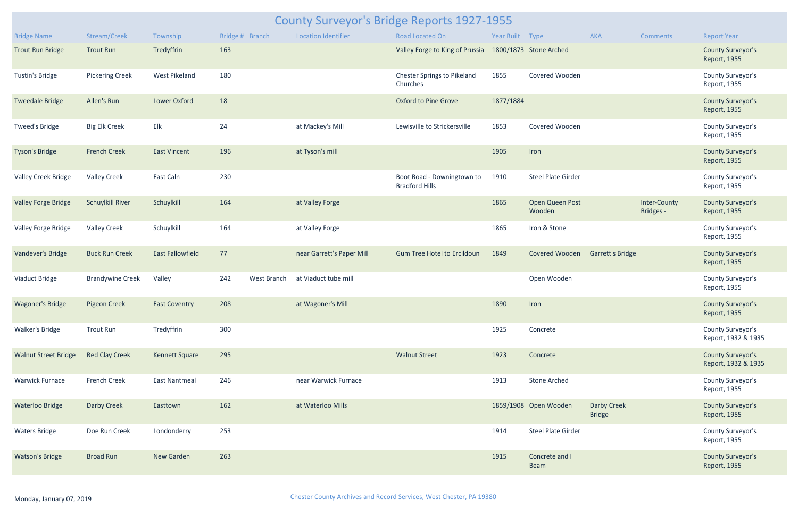| <b>County Surveyor's Bridge Reports 1927-1955</b> |                         |                         |     |                 |                            |                                                     |                 |                           |                                     |                           |                                                 |  |
|---------------------------------------------------|-------------------------|-------------------------|-----|-----------------|----------------------------|-----------------------------------------------------|-----------------|---------------------------|-------------------------------------|---------------------------|-------------------------------------------------|--|
| <b>Bridge Name</b>                                | Stream/Creek            | Township                |     | Bridge # Branch | <b>Location Identifier</b> | Road Located On                                     | Year Built Type |                           | <b>AKA</b>                          | <b>Comments</b>           | <b>Report Year</b>                              |  |
| <b>Trout Run Bridge</b>                           | <b>Trout Run</b>        | Tredyffrin              | 163 |                 |                            | Valley Forge to King of Prussia                     |                 | 1800/1873 Stone Arched    |                                     |                           | <b>County Surveyor's</b><br>Report, 1955        |  |
| <b>Tustin's Bridge</b>                            | <b>Pickering Creek</b>  | West Pikeland           | 180 |                 |                            | Chester Springs to Pikeland<br>Churches             | 1855            | Covered Wooden            |                                     |                           | County Surveyor's<br>Report, 1955               |  |
| <b>Tweedale Bridge</b>                            | Allen's Run             | Lower Oxford            | 18  |                 |                            | <b>Oxford to Pine Grove</b>                         | 1877/1884       |                           |                                     |                           | <b>County Surveyor's</b><br>Report, 1955        |  |
| <b>Tweed's Bridge</b>                             | <b>Big Elk Creek</b>    | Elk                     | 24  |                 | at Mackey's Mill           | Lewisville to Strickersville                        | 1853            | Covered Wooden            |                                     |                           | County Surveyor's<br>Report, 1955               |  |
| Tyson's Bridge                                    | <b>French Creek</b>     | <b>East Vincent</b>     | 196 |                 | at Tyson's mill            |                                                     | 1905            | Iron                      |                                     |                           | <b>County Surveyor's</b><br>Report, 1955        |  |
| <b>Valley Creek Bridge</b>                        | <b>Valley Creek</b>     | East Caln               | 230 |                 |                            | Boot Road - Downingtown to<br><b>Bradford Hills</b> | 1910            | <b>Steel Plate Girder</b> |                                     |                           | County Surveyor's<br>Report, 1955               |  |
| <b>Valley Forge Bridge</b>                        | <b>Schuylkill River</b> | Schuylkill              | 164 |                 | at Valley Forge            |                                                     | 1865            | Open Queen Post<br>Wooden |                                     | Inter-County<br>Bridges - | <b>County Surveyor's</b><br>Report, 1955        |  |
| Valley Forge Bridge                               | <b>Valley Creek</b>     | Schuylkill              | 164 |                 | at Valley Forge            |                                                     | 1865            | Iron & Stone              |                                     |                           | County Surveyor's<br>Report, 1955               |  |
| Vandever's Bridge                                 | <b>Buck Run Creek</b>   | <b>East Fallowfield</b> | 77  |                 | near Garrett's Paper Mill  | <b>Gum Tree Hotel to Ercildoun</b>                  | 1849            | Covered Wooden            | <b>Garrett's Bridge</b>             |                           | <b>County Surveyor's</b><br>Report, 1955        |  |
| Viaduct Bridge                                    | <b>Brandywine Creek</b> | Valley                  | 242 | West Branch     | at Viaduct tube mill       |                                                     |                 | Open Wooden               |                                     |                           | County Surveyor's<br>Report, 1955               |  |
| Wagoner's Bridge                                  | Pigeon Creek            | <b>East Coventry</b>    | 208 |                 | at Wagoner's Mill          |                                                     | 1890            | Iron                      |                                     |                           | <b>County Surveyor's</b><br>Report, 1955        |  |
| Walker's Bridge                                   | <b>Trout Run</b>        | Tredyffrin              | 300 |                 |                            |                                                     | 1925            | Concrete                  |                                     |                           | County Surveyor's<br>Report, 1932 & 1935        |  |
| <b>Walnut Street Bridge</b>                       | <b>Red Clay Creek</b>   | <b>Kennett Square</b>   | 295 |                 |                            | <b>Walnut Street</b>                                | 1923            | Concrete                  |                                     |                           | <b>County Surveyor's</b><br>Report, 1932 & 1935 |  |
| <b>Warwick Furnace</b>                            | French Creek            | <b>East Nantmeal</b>    | 246 |                 | near Warwick Furnace       |                                                     | 1913            | <b>Stone Arched</b>       |                                     |                           | County Surveyor's<br>Report, 1955               |  |
| <b>Waterloo Bridge</b>                            | Darby Creek             | Easttown                | 162 |                 | at Waterloo Mills          |                                                     |                 | 1859/1908 Open Wooden     | <b>Darby Creek</b><br><b>Bridge</b> |                           | <b>County Surveyor's</b><br>Report, 1955        |  |
| <b>Waters Bridge</b>                              | Doe Run Creek           | Londonderry             | 253 |                 |                            |                                                     | 1914            | <b>Steel Plate Girder</b> |                                     |                           | County Surveyor's<br>Report, 1955               |  |
| <b>Watson's Bridge</b>                            | <b>Broad Run</b>        | New Garden              | 263 |                 |                            |                                                     | 1915            | Concrete and I<br>Beam    |                                     |                           | <b>County Surveyor's</b><br>Report, 1955        |  |
|                                                   |                         |                         |     |                 |                            |                                                     |                 |                           |                                     |                           |                                                 |  |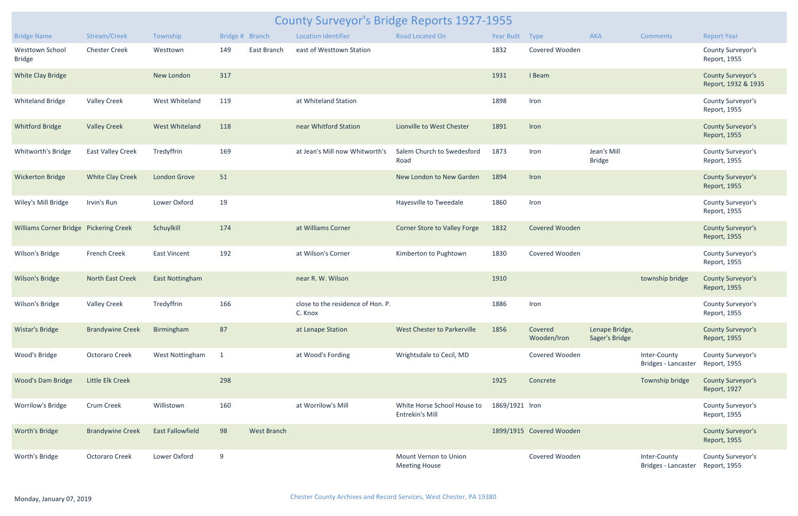| <b>County Surveyor's Bridge Reports 1927-1955</b> |                          |                         |                 |                    |                                              |                                                |                 |                          |                                  |                                     |                                                 |  |
|---------------------------------------------------|--------------------------|-------------------------|-----------------|--------------------|----------------------------------------------|------------------------------------------------|-----------------|--------------------------|----------------------------------|-------------------------------------|-------------------------------------------------|--|
| <b>Bridge Name</b>                                | Stream/Creek             | Township                | Bridge # Branch |                    | <b>Location Identifier</b>                   | <b>Road Located On</b>                         | Year Built Type |                          | <b>AKA</b>                       | <b>Comments</b>                     | <b>Report Year</b>                              |  |
| Westtown School<br><b>Bridge</b>                  | <b>Chester Creek</b>     | Westtown                | 149             | East Branch        | east of Westtown Station                     |                                                | 1832            | Covered Wooden           |                                  |                                     | County Surveyor's<br>Report, 1955               |  |
| <b>White Clay Bridge</b>                          |                          | New London              | 317             |                    |                                              |                                                | 1931            | I Beam                   |                                  |                                     | <b>County Surveyor's</b><br>Report, 1932 & 1935 |  |
| <b>Whiteland Bridge</b>                           | <b>Valley Creek</b>      | West Whiteland          | 119             |                    | at Whiteland Station                         |                                                | 1898            | Iron                     |                                  |                                     | County Surveyor's<br>Report, 1955               |  |
| <b>Whitford Bridge</b>                            | <b>Valley Creek</b>      | West Whiteland          | 118             |                    | near Whitford Station                        | Lionville to West Chester                      | 1891            | Iron                     |                                  |                                     | <b>County Surveyor's</b><br>Report, 1955        |  |
| Whitworth's Bridge                                | <b>East Valley Creek</b> | Tredyffrin              | 169             |                    | at Jean's Mill now Whitworth's               | Salem Church to Swedesford<br>Road             | 1873            | Iron                     | Jean's Mill<br><b>Bridge</b>     |                                     | County Surveyor's<br>Report, 1955               |  |
| <b>Wickerton Bridge</b>                           | <b>White Clay Creek</b>  | London Grove            | 51              |                    |                                              | New London to New Garden                       | 1894            | Iron                     |                                  |                                     | <b>County Surveyor's</b><br>Report, 1955        |  |
| Wiley's Mill Bridge                               | Irvin's Run              | Lower Oxford            | 19              |                    |                                              | Hayesville to Tweedale                         | 1860            | Iron                     |                                  |                                     | County Surveyor's<br>Report, 1955               |  |
| Williams Corner Bridge Pickering Creek            |                          | Schuylkill              | 174             |                    | at Williams Corner                           | Corner Store to Valley Forge                   | 1832            | Covered Wooden           |                                  |                                     | <b>County Surveyor's</b><br>Report, 1955        |  |
| Wilson's Bridge                                   | French Creek             | <b>East Vincent</b>     | 192             |                    | at Wilson's Corner                           | Kimberton to Pughtown                          | 1830            | Covered Wooden           |                                  |                                     | County Surveyor's<br>Report, 1955               |  |
| <b>Wilson's Bridge</b>                            | North East Creek         | <b>East Nottingham</b>  |                 |                    | near R. W. Wilson                            |                                                | 1910            |                          |                                  | township bridge                     | <b>County Surveyor's</b><br>Report, 1955        |  |
| Wilson's Bridge                                   | <b>Valley Creek</b>      | Tredyffrin              | 166             |                    | close to the residence of Hon. P.<br>C. Knox |                                                | 1886            | Iron                     |                                  |                                     | County Surveyor's<br>Report, 1955               |  |
| <b>Wistar's Bridge</b>                            | <b>Brandywine Creek</b>  | Birmingham              | 87              |                    | at Lenape Station                            | West Chester to Parkerville                    | 1856            | Covered<br>Wooden/Iron   | Lenape Bridge,<br>Sager's Bridge |                                     | <b>County Surveyor's</b><br>Report, 1955        |  |
| Wood's Bridge                                     | <b>Octoraro Creek</b>    | West Nottingham         | $\mathbf{1}$    |                    | at Wood's Fording                            | Wrightsdale to Cecil, MD                       |                 | Covered Wooden           |                                  | Inter-County<br>Bridges - Lancaster | County Surveyor's<br>Report, 1955               |  |
| <b>Wood's Dam Bridge</b>                          | Little Elk Creek         |                         | 298             |                    |                                              |                                                | 1925            | Concrete                 |                                  | Township bridge                     | <b>County Surveyor's</b><br>Report, 1927        |  |
| <b>Worrilow's Bridge</b>                          | <b>Crum Creek</b>        | Willistown              | 160             |                    | at Worrilow's Mill                           | White Horse School House to<br>Entrekin's Mill | 1869/1921 Iron  |                          |                                  |                                     | County Surveyor's<br>Report, 1955               |  |
| Worth's Bridge                                    | <b>Brandywine Creek</b>  | <b>East Fallowfield</b> | 98              | <b>West Branch</b> |                                              |                                                |                 | 1899/1915 Covered Wooden |                                  |                                     | <b>County Surveyor's</b><br>Report, 1955        |  |
| Worth's Bridge                                    | <b>Octoraro Creek</b>    | Lower Oxford            | 9               |                    |                                              | Mount Vernon to Union<br><b>Meeting House</b>  |                 | Covered Wooden           |                                  | Inter-County<br>Bridges - Lancaster | County Surveyor's<br>Report, 1955               |  |